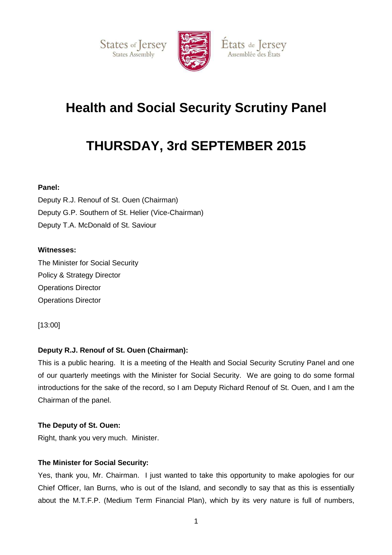



## États de Jersey Assemblée des États

# **Health and Social Security Scrutiny Panel**

# **THURSDAY, 3rd SEPTEMBER 2015**

## **Panel:**

Deputy R.J. Renouf of St. Ouen (Chairman) Deputy G.P. Southern of St. Helier (Vice-Chairman) Deputy T.A. McDonald of St. Saviour

## **Witnesses:**

The Minister for Social Security Policy & Strategy Director Operations Director Operations Director

[13:00]

## **Deputy R.J. Renouf of St. Ouen (Chairman):**

This is a public hearing. It is a meeting of the Health and Social Security Scrutiny Panel and one of our quarterly meetings with the Minister for Social Security. We are going to do some formal introductions for the sake of the record, so I am Deputy Richard Renouf of St. Ouen, and I am the Chairman of the panel.

#### **The Deputy of St. Ouen:**

Right, thank you very much. Minister.

#### **The Minister for Social Security:**

Yes, thank you, Mr. Chairman. I just wanted to take this opportunity to make apologies for our Chief Officer, Ian Burns, who is out of the Island, and secondly to say that as this is essentially about the M.T.F.P. (Medium Term Financial Plan), which by its very nature is full of numbers,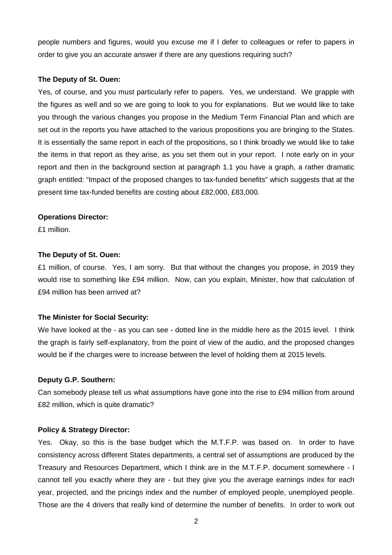people numbers and figures, would you excuse me if I defer to colleagues or refer to papers in order to give you an accurate answer if there are any questions requiring such?

#### **The Deputy of St. Ouen:**

Yes, of course, and you must particularly refer to papers. Yes, we understand. We grapple with the figures as well and so we are going to look to you for explanations. But we would like to take you through the various changes you propose in the Medium Term Financial Plan and which are set out in the reports you have attached to the various propositions you are bringing to the States. It is essentially the same report in each of the propositions, so I think broadly we would like to take the items in that report as they arise, as you set them out in your report. I note early on in your report and then in the background section at paragraph 1.1 you have a graph, a rather dramatic graph entitled: "Impact of the proposed changes to tax-funded benefits" which suggests that at the present time tax-funded benefits are costing about £82,000, £83,000.

#### **Operations Director:**

£1 million.

#### **The Deputy of St. Ouen:**

£1 million, of course. Yes, I am sorry. But that without the changes you propose, in 2019 they would rise to something like £94 million. Now, can you explain, Minister, how that calculation of £94 million has been arrived at?

#### **The Minister for Social Security:**

We have looked at the - as you can see - dotted line in the middle here as the 2015 level. I think the graph is fairly self-explanatory, from the point of view of the audio, and the proposed changes would be if the charges were to increase between the level of holding them at 2015 levels.

#### **Deputy G.P. Southern:**

Can somebody please tell us what assumptions have gone into the rise to £94 million from around £82 million, which is quite dramatic?

#### **Policy & Strategy Director:**

Yes. Okay, so this is the base budget which the M.T.F.P. was based on. In order to have consistency across different States departments, a central set of assumptions are produced by the Treasury and Resources Department, which I think are in the M.T.F.P. document somewhere - I cannot tell you exactly where they are - but they give you the average earnings index for each year, projected, and the pricings index and the number of employed people, unemployed people. Those are the 4 drivers that really kind of determine the number of benefits. In order to work out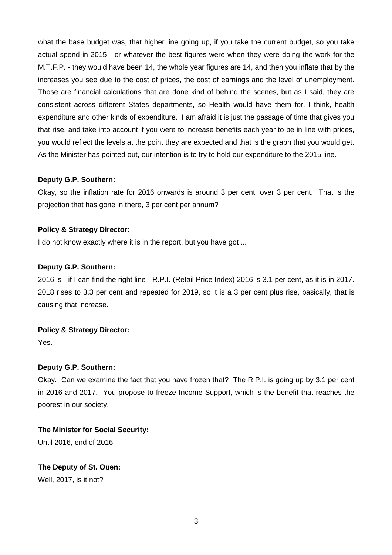what the base budget was, that higher line going up, if you take the current budget, so you take actual spend in 2015 - or whatever the best figures were when they were doing the work for the M.T.F.P. - they would have been 14, the whole year figures are 14, and then you inflate that by the increases you see due to the cost of prices, the cost of earnings and the level of unemployment. Those are financial calculations that are done kind of behind the scenes, but as I said, they are consistent across different States departments, so Health would have them for, I think, health expenditure and other kinds of expenditure. I am afraid it is just the passage of time that gives you that rise, and take into account if you were to increase benefits each year to be in line with prices, you would reflect the levels at the point they are expected and that is the graph that you would get. As the Minister has pointed out, our intention is to try to hold our expenditure to the 2015 line.

#### **Deputy G.P. Southern:**

Okay, so the inflation rate for 2016 onwards is around 3 per cent, over 3 per cent. That is the projection that has gone in there, 3 per cent per annum?

## **Policy & Strategy Director:**

I do not know exactly where it is in the report, but you have got ...

#### **Deputy G.P. Southern:**

2016 is - if I can find the right line - R.P.I. (Retail Price Index) 2016 is 3.1 per cent, as it is in 2017. 2018 rises to 3.3 per cent and repeated for 2019, so it is a 3 per cent plus rise, basically, that is causing that increase.

#### **Policy & Strategy Director:**

Yes.

#### **Deputy G.P. Southern:**

Okay. Can we examine the fact that you have frozen that? The R.P.I. is going up by 3.1 per cent in 2016 and 2017. You propose to freeze Income Support, which is the benefit that reaches the poorest in our society.

## **The Minister for Social Security:**

Until 2016, end of 2016.

## **The Deputy of St. Ouen:**

Well, 2017, is it not?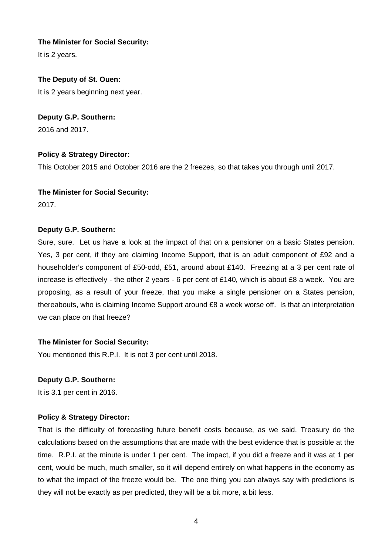## **The Minister for Social Security:**

It is 2 years.

## **The Deputy of St. Ouen:**

It is 2 years beginning next year.

## **Deputy G.P. Southern:**

2016 and 2017.

## **Policy & Strategy Director:**

This October 2015 and October 2016 are the 2 freezes, so that takes you through until 2017.

#### **The Minister for Social Security:**

2017.

#### **Deputy G.P. Southern:**

Sure, sure. Let us have a look at the impact of that on a pensioner on a basic States pension. Yes, 3 per cent, if they are claiming Income Support, that is an adult component of £92 and a householder's component of £50-odd, £51, around about £140. Freezing at a 3 per cent rate of increase is effectively - the other 2 years - 6 per cent of £140, which is about £8 a week. You are proposing, as a result of your freeze, that you make a single pensioner on a States pension, thereabouts, who is claiming Income Support around £8 a week worse off. Is that an interpretation we can place on that freeze?

#### **The Minister for Social Security:**

You mentioned this R.P.I. It is not 3 per cent until 2018.

#### **Deputy G.P. Southern:**

It is 3.1 per cent in 2016.

#### **Policy & Strategy Director:**

That is the difficulty of forecasting future benefit costs because, as we said, Treasury do the calculations based on the assumptions that are made with the best evidence that is possible at the time. R.P.I. at the minute is under 1 per cent. The impact, if you did a freeze and it was at 1 per cent, would be much, much smaller, so it will depend entirely on what happens in the economy as to what the impact of the freeze would be. The one thing you can always say with predictions is they will not be exactly as per predicted, they will be a bit more, a bit less.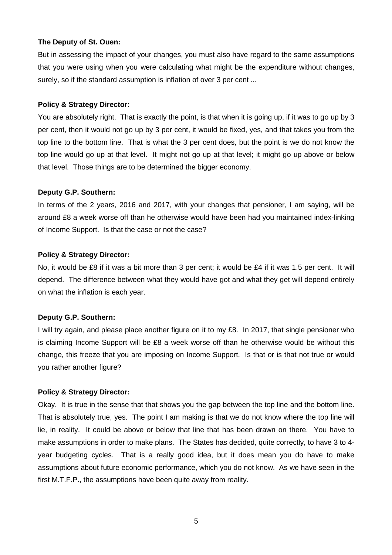#### **The Deputy of St. Ouen:**

But in assessing the impact of your changes, you must also have regard to the same assumptions that you were using when you were calculating what might be the expenditure without changes, surely, so if the standard assumption is inflation of over 3 per cent ...

#### **Policy & Strategy Director:**

You are absolutely right. That is exactly the point, is that when it is going up, if it was to go up by 3 per cent, then it would not go up by 3 per cent, it would be fixed, yes, and that takes you from the top line to the bottom line. That is what the 3 per cent does, but the point is we do not know the top line would go up at that level. It might not go up at that level; it might go up above or below that level. Those things are to be determined the bigger economy.

#### **Deputy G.P. Southern:**

In terms of the 2 years, 2016 and 2017, with your changes that pensioner, I am saying, will be around £8 a week worse off than he otherwise would have been had you maintained index-linking of Income Support. Is that the case or not the case?

#### **Policy & Strategy Director:**

No, it would be £8 if it was a bit more than 3 per cent; it would be £4 if it was 1.5 per cent. It will depend. The difference between what they would have got and what they get will depend entirely on what the inflation is each year.

#### **Deputy G.P. Southern:**

I will try again, and please place another figure on it to my £8. In 2017, that single pensioner who is claiming Income Support will be £8 a week worse off than he otherwise would be without this change, this freeze that you are imposing on Income Support. Is that or is that not true or would you rather another figure?

#### **Policy & Strategy Director:**

Okay. It is true in the sense that that shows you the gap between the top line and the bottom line. That is absolutely true, yes. The point I am making is that we do not know where the top line will lie, in reality. It could be above or below that line that has been drawn on there. You have to make assumptions in order to make plans. The States has decided, quite correctly, to have 3 to 4 year budgeting cycles. That is a really good idea, but it does mean you do have to make assumptions about future economic performance, which you do not know. As we have seen in the first M.T.F.P., the assumptions have been quite away from reality.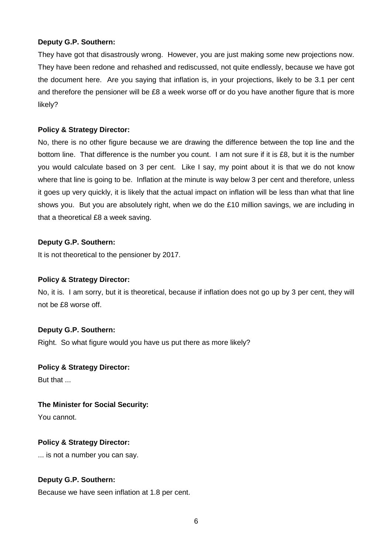They have got that disastrously wrong. However, you are just making some new projections now. They have been redone and rehashed and rediscussed, not quite endlessly, because we have got the document here. Are you saying that inflation is, in your projections, likely to be 3.1 per cent and therefore the pensioner will be £8 a week worse off or do you have another figure that is more likely?

## **Policy & Strategy Director:**

No, there is no other figure because we are drawing the difference between the top line and the bottom line. That difference is the number you count. I am not sure if it is £8, but it is the number you would calculate based on 3 per cent. Like I say, my point about it is that we do not know where that line is going to be. Inflation at the minute is way below 3 per cent and therefore, unless it goes up very quickly, it is likely that the actual impact on inflation will be less than what that line shows you. But you are absolutely right, when we do the £10 million savings, we are including in that a theoretical £8 a week saving.

## **Deputy G.P. Southern:**

It is not theoretical to the pensioner by 2017.

## **Policy & Strategy Director:**

No, it is. I am sorry, but it is theoretical, because if inflation does not go up by 3 per cent, they will not be £8 worse off.

## **Deputy G.P. Southern:**

Right. So what figure would you have us put there as more likely?

#### **Policy & Strategy Director:**

But that ...

#### **The Minister for Social Security:**

You cannot.

## **Policy & Strategy Director:**

... is not a number you can say.

## **Deputy G.P. Southern:**

Because we have seen inflation at 1.8 per cent.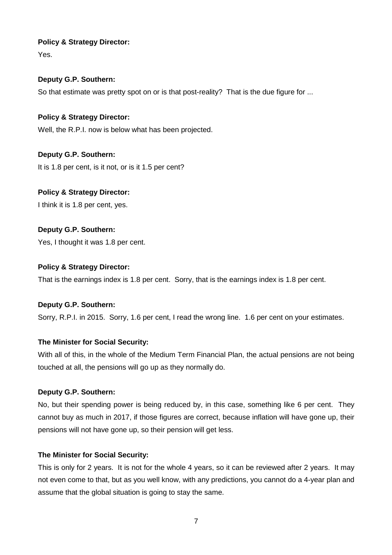## **Policy & Strategy Director:**

Yes.

## **Deputy G.P. Southern:**

So that estimate was pretty spot on or is that post-reality? That is the due figure for ...

## **Policy & Strategy Director:**

Well, the R.P.I. now is below what has been projected.

## **Deputy G.P. Southern:**

It is 1.8 per cent, is it not, or is it 1.5 per cent?

## **Policy & Strategy Director:**

I think it is 1.8 per cent, yes.

## **Deputy G.P. Southern:**

Yes, I thought it was 1.8 per cent.

#### **Policy & Strategy Director:**

That is the earnings index is 1.8 per cent. Sorry, that is the earnings index is 1.8 per cent.

#### **Deputy G.P. Southern:**

Sorry, R.P.I. in 2015. Sorry, 1.6 per cent, I read the wrong line. 1.6 per cent on your estimates.

## **The Minister for Social Security:**

With all of this, in the whole of the Medium Term Financial Plan, the actual pensions are not being touched at all, the pensions will go up as they normally do.

#### **Deputy G.P. Southern:**

No, but their spending power is being reduced by, in this case, something like 6 per cent. They cannot buy as much in 2017, if those figures are correct, because inflation will have gone up, their pensions will not have gone up, so their pension will get less.

#### **The Minister for Social Security:**

This is only for 2 years. It is not for the whole 4 years, so it can be reviewed after 2 years. It may not even come to that, but as you well know, with any predictions, you cannot do a 4-year plan and assume that the global situation is going to stay the same.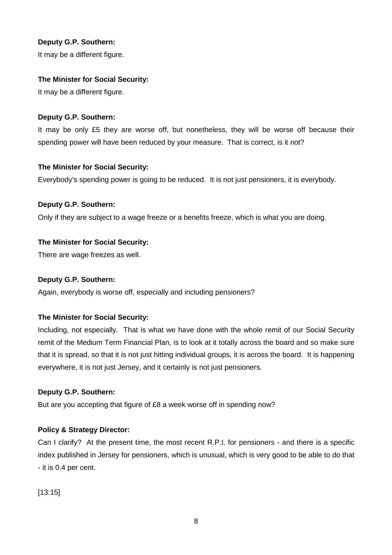It may be a different figure.

#### **The Minister for Social Security:**

It may be a different figure.

#### **Deputy G.P. Southern:**

It may be only £5 they are worse off, but nonetheless, they will be worse off because their spending power will have been reduced by your measure. That is correct, is it not?

#### **The Minister for Social Security:**

Everybody's spending power is going to be reduced. It is not just pensioners, it is everybody.

#### **Deputy G.P. Southern:**

Only if they are subject to a wage freeze or a benefits freeze, which is what you are doing.

#### **The Minister for Social Security:**

There are wage freezes as well.

#### **Deputy G.P. Southern:**

Again, everybody is worse off, especially and including pensioners?

#### **The Minister for Social Security:**

Including, not especially. That is what we have done with the whole remit of our Social Security remit of the Medium Term Financial Plan, is to look at it totally across the board and so make sure that it is spread, so that it is not just hitting individual groups, it is across the board. It is happening everywhere, it is not just Jersey, and it certainly is not just pensioners.

#### **Deputy G.P. Southern:**

But are you accepting that figure of £8 a week worse off in spending now?

#### **Policy & Strategy Director:**

Can I clarify? At the present time, the most recent R.P.I. for pensioners - and there is a specific index published in Jersey for pensioners, which is unusual, which is very good to be able to do that - it is 0.4 per cent.

[13:15]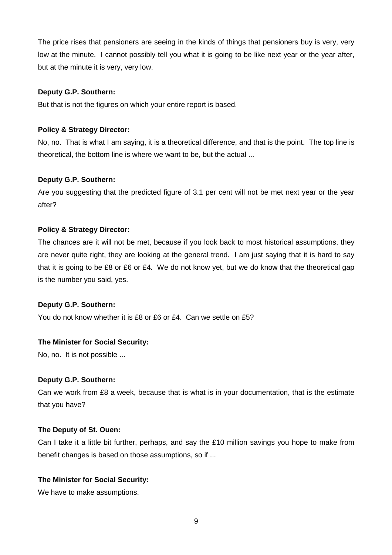The price rises that pensioners are seeing in the kinds of things that pensioners buy is very, very low at the minute. I cannot possibly tell you what it is going to be like next year or the year after, but at the minute it is very, very low.

#### **Deputy G.P. Southern:**

But that is not the figures on which your entire report is based.

#### **Policy & Strategy Director:**

No, no. That is what I am saying, it is a theoretical difference, and that is the point. The top line is theoretical, the bottom line is where we want to be, but the actual ...

#### **Deputy G.P. Southern:**

Are you suggesting that the predicted figure of 3.1 per cent will not be met next year or the year after?

#### **Policy & Strategy Director:**

The chances are it will not be met, because if you look back to most historical assumptions, they are never quite right, they are looking at the general trend. I am just saying that it is hard to say that it is going to be £8 or £6 or £4. We do not know yet, but we do know that the theoretical gap is the number you said, yes.

#### **Deputy G.P. Southern:**

You do not know whether it is £8 or £6 or £4. Can we settle on £5?

#### **The Minister for Social Security:**

No, no. It is not possible ...

#### **Deputy G.P. Southern:**

Can we work from £8 a week, because that is what is in your documentation, that is the estimate that you have?

#### **The Deputy of St. Ouen:**

Can I take it a little bit further, perhaps, and say the £10 million savings you hope to make from benefit changes is based on those assumptions, so if ...

#### **The Minister for Social Security:**

We have to make assumptions.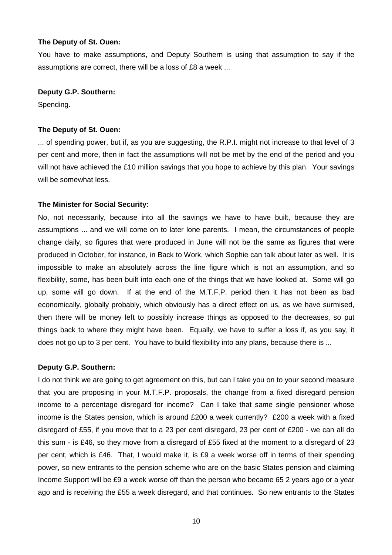#### **The Deputy of St. Ouen:**

You have to make assumptions, and Deputy Southern is using that assumption to say if the assumptions are correct, there will be a loss of £8 a week ...

#### **Deputy G.P. Southern:**

Spending.

#### **The Deputy of St. Ouen:**

... of spending power, but if, as you are suggesting, the R.P.I. might not increase to that level of 3 per cent and more, then in fact the assumptions will not be met by the end of the period and you will not have achieved the £10 million savings that you hope to achieve by this plan. Your savings will be somewhat less.

#### **The Minister for Social Security:**

No, not necessarily, because into all the savings we have to have built, because they are assumptions ... and we will come on to later lone parents. I mean, the circumstances of people change daily, so figures that were produced in June will not be the same as figures that were produced in October, for instance, in Back to Work, which Sophie can talk about later as well. It is impossible to make an absolutely across the line figure which is not an assumption, and so flexibility, some, has been built into each one of the things that we have looked at. Some will go up, some will go down. If at the end of the M.T.F.P. period then it has not been as bad economically, globally probably, which obviously has a direct effect on us, as we have surmised, then there will be money left to possibly increase things as opposed to the decreases, so put things back to where they might have been. Equally, we have to suffer a loss if, as you say, it does not go up to 3 per cent. You have to build flexibility into any plans, because there is ...

#### **Deputy G.P. Southern:**

I do not think we are going to get agreement on this, but can I take you on to your second measure that you are proposing in your M.T.F.P. proposals, the change from a fixed disregard pension income to a percentage disregard for income? Can I take that same single pensioner whose income is the States pension, which is around £200 a week currently? £200 a week with a fixed disregard of £55, if you move that to a 23 per cent disregard, 23 per cent of £200 - we can all do this sum - is £46, so they move from a disregard of £55 fixed at the moment to a disregard of 23 per cent, which is £46. That, I would make it, is £9 a week worse off in terms of their spending power, so new entrants to the pension scheme who are on the basic States pension and claiming Income Support will be £9 a week worse off than the person who became 65 2 years ago or a year ago and is receiving the £55 a week disregard, and that continues. So new entrants to the States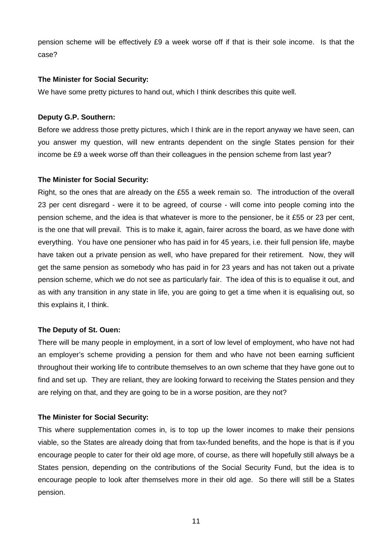pension scheme will be effectively £9 a week worse off if that is their sole income. Is that the case?

#### **The Minister for Social Security:**

We have some pretty pictures to hand out, which I think describes this quite well.

#### **Deputy G.P. Southern:**

Before we address those pretty pictures, which I think are in the report anyway we have seen, can you answer my question, will new entrants dependent on the single States pension for their income be £9 a week worse off than their colleagues in the pension scheme from last year?

#### **The Minister for Social Security:**

Right, so the ones that are already on the £55 a week remain so. The introduction of the overall 23 per cent disregard - were it to be agreed, of course - will come into people coming into the pension scheme, and the idea is that whatever is more to the pensioner, be it £55 or 23 per cent, is the one that will prevail. This is to make it, again, fairer across the board, as we have done with everything. You have one pensioner who has paid in for 45 years, i.e. their full pension life, maybe have taken out a private pension as well, who have prepared for their retirement. Now, they will get the same pension as somebody who has paid in for 23 years and has not taken out a private pension scheme, which we do not see as particularly fair. The idea of this is to equalise it out, and as with any transition in any state in life, you are going to get a time when it is equalising out, so this explains it, I think.

#### **The Deputy of St. Ouen:**

There will be many people in employment, in a sort of low level of employment, who have not had an employer's scheme providing a pension for them and who have not been earning sufficient throughout their working life to contribute themselves to an own scheme that they have gone out to find and set up. They are reliant, they are looking forward to receiving the States pension and they are relying on that, and they are going to be in a worse position, are they not?

#### **The Minister for Social Security:**

This where supplementation comes in, is to top up the lower incomes to make their pensions viable, so the States are already doing that from tax-funded benefits, and the hope is that is if you encourage people to cater for their old age more, of course, as there will hopefully still always be a States pension, depending on the contributions of the Social Security Fund, but the idea is to encourage people to look after themselves more in their old age. So there will still be a States pension.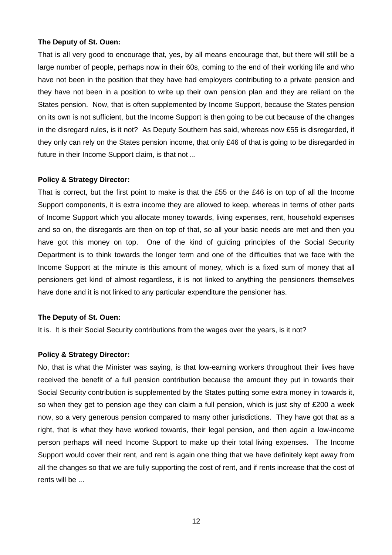#### **The Deputy of St. Ouen:**

That is all very good to encourage that, yes, by all means encourage that, but there will still be a large number of people, perhaps now in their 60s, coming to the end of their working life and who have not been in the position that they have had employers contributing to a private pension and they have not been in a position to write up their own pension plan and they are reliant on the States pension. Now, that is often supplemented by Income Support, because the States pension on its own is not sufficient, but the Income Support is then going to be cut because of the changes in the disregard rules, is it not? As Deputy Southern has said, whereas now £55 is disregarded, if they only can rely on the States pension income, that only £46 of that is going to be disregarded in future in their Income Support claim, is that not ...

#### **Policy & Strategy Director:**

That is correct, but the first point to make is that the £55 or the  $£46$  is on top of all the Income Support components, it is extra income they are allowed to keep, whereas in terms of other parts of Income Support which you allocate money towards, living expenses, rent, household expenses and so on, the disregards are then on top of that, so all your basic needs are met and then you have got this money on top. One of the kind of guiding principles of the Social Security Department is to think towards the longer term and one of the difficulties that we face with the Income Support at the minute is this amount of money, which is a fixed sum of money that all pensioners get kind of almost regardless, it is not linked to anything the pensioners themselves have done and it is not linked to any particular expenditure the pensioner has.

#### **The Deputy of St. Ouen:**

It is. It is their Social Security contributions from the wages over the years, is it not?

#### **Policy & Strategy Director:**

No, that is what the Minister was saying, is that low-earning workers throughout their lives have received the benefit of a full pension contribution because the amount they put in towards their Social Security contribution is supplemented by the States putting some extra money in towards it, so when they get to pension age they can claim a full pension, which is just shy of £200 a week now, so a very generous pension compared to many other jurisdictions. They have got that as a right, that is what they have worked towards, their legal pension, and then again a low-income person perhaps will need Income Support to make up their total living expenses. The Income Support would cover their rent, and rent is again one thing that we have definitely kept away from all the changes so that we are fully supporting the cost of rent, and if rents increase that the cost of rents will be ...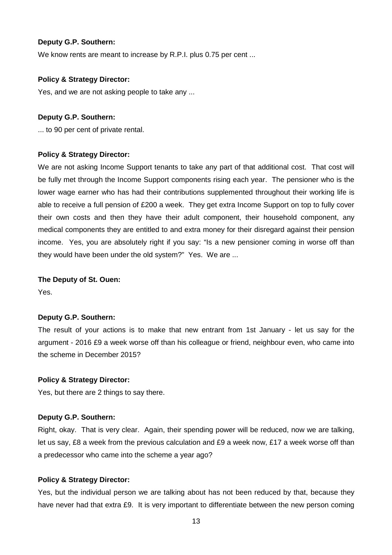We know rents are meant to increase by R.P.I. plus 0.75 per cent ...

#### **Policy & Strategy Director:**

Yes, and we are not asking people to take any ...

#### **Deputy G.P. Southern:**

... to 90 per cent of private rental.

#### **Policy & Strategy Director:**

We are not asking Income Support tenants to take any part of that additional cost. That cost will be fully met through the Income Support components rising each year. The pensioner who is the lower wage earner who has had their contributions supplemented throughout their working life is able to receive a full pension of £200 a week. They get extra Income Support on top to fully cover their own costs and then they have their adult component, their household component, any medical components they are entitled to and extra money for their disregard against their pension income. Yes, you are absolutely right if you say: "Is a new pensioner coming in worse off than they would have been under the old system?" Yes. We are ...

#### **The Deputy of St. Ouen:**

Yes.

#### **Deputy G.P. Southern:**

The result of your actions is to make that new entrant from 1st January - let us say for the argument - 2016 £9 a week worse off than his colleague or friend, neighbour even, who came into the scheme in December 2015?

#### **Policy & Strategy Director:**

Yes, but there are 2 things to say there.

#### **Deputy G.P. Southern:**

Right, okay. That is very clear. Again, their spending power will be reduced, now we are talking, let us say, £8 a week from the previous calculation and £9 a week now, £17 a week worse off than a predecessor who came into the scheme a year ago?

#### **Policy & Strategy Director:**

Yes, but the individual person we are talking about has not been reduced by that, because they have never had that extra £9. It is very important to differentiate between the new person coming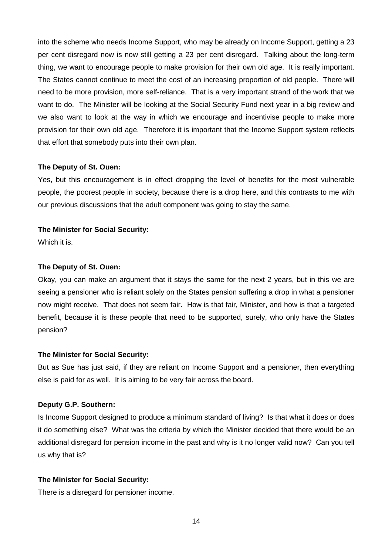into the scheme who needs Income Support, who may be already on Income Support, getting a 23 per cent disregard now is now still getting a 23 per cent disregard. Talking about the long-term thing, we want to encourage people to make provision for their own old age. It is really important. The States cannot continue to meet the cost of an increasing proportion of old people. There will need to be more provision, more self-reliance. That is a very important strand of the work that we want to do. The Minister will be looking at the Social Security Fund next year in a big review and we also want to look at the way in which we encourage and incentivise people to make more provision for their own old age. Therefore it is important that the Income Support system reflects that effort that somebody puts into their own plan.

#### **The Deputy of St. Ouen:**

Yes, but this encouragement is in effect dropping the level of benefits for the most vulnerable people, the poorest people in society, because there is a drop here, and this contrasts to me with our previous discussions that the adult component was going to stay the same.

#### **The Minister for Social Security:**

Which it is.

#### **The Deputy of St. Ouen:**

Okay, you can make an argument that it stays the same for the next 2 years, but in this we are seeing a pensioner who is reliant solely on the States pension suffering a drop in what a pensioner now might receive. That does not seem fair. How is that fair, Minister, and how is that a targeted benefit, because it is these people that need to be supported, surely, who only have the States pension?

#### **The Minister for Social Security:**

But as Sue has just said, if they are reliant on Income Support and a pensioner, then everything else is paid for as well. It is aiming to be very fair across the board.

#### **Deputy G.P. Southern:**

Is Income Support designed to produce a minimum standard of living? Is that what it does or does it do something else? What was the criteria by which the Minister decided that there would be an additional disregard for pension income in the past and why is it no longer valid now? Can you tell us why that is?

#### **The Minister for Social Security:**

There is a disregard for pensioner income.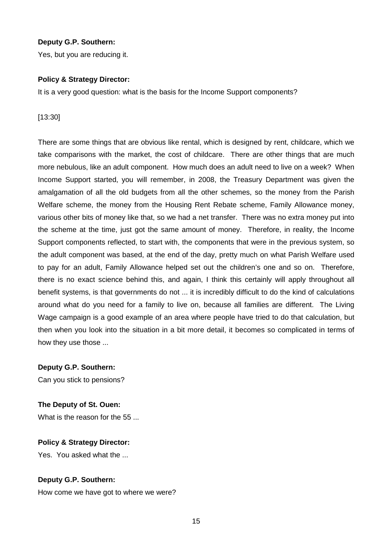Yes, but you are reducing it.

## **Policy & Strategy Director:**

It is a very good question: what is the basis for the Income Support components?

[13:30]

There are some things that are obvious like rental, which is designed by rent, childcare, which we take comparisons with the market, the cost of childcare. There are other things that are much more nebulous, like an adult component. How much does an adult need to live on a week? When Income Support started, you will remember, in 2008, the Treasury Department was given the amalgamation of all the old budgets from all the other schemes, so the money from the Parish Welfare scheme, the money from the Housing Rent Rebate scheme, Family Allowance money, various other bits of money like that, so we had a net transfer. There was no extra money put into the scheme at the time, just got the same amount of money. Therefore, in reality, the Income Support components reflected, to start with, the components that were in the previous system, so the adult component was based, at the end of the day, pretty much on what Parish Welfare used to pay for an adult, Family Allowance helped set out the children's one and so on. Therefore, there is no exact science behind this, and again, I think this certainly will apply throughout all benefit systems, is that governments do not ... it is incredibly difficult to do the kind of calculations around what do you need for a family to live on, because all families are different. The Living Wage campaign is a good example of an area where people have tried to do that calculation, but then when you look into the situation in a bit more detail, it becomes so complicated in terms of how they use those ...

**Deputy G.P. Southern:**

Can you stick to pensions?

**The Deputy of St. Ouen:**

What is the reason for the 55 ...

**Policy & Strategy Director:** Yes. You asked what the ...

## **Deputy G.P. Southern:**

How come we have got to where we were?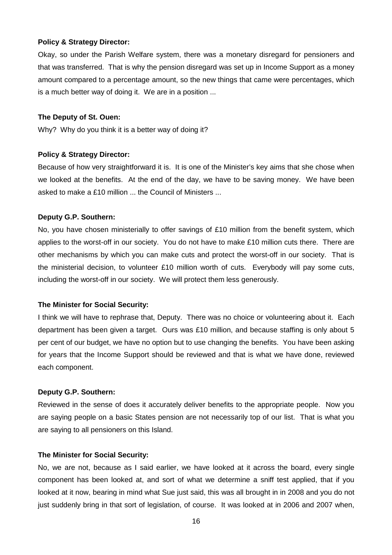#### **Policy & Strategy Director:**

Okay, so under the Parish Welfare system, there was a monetary disregard for pensioners and that was transferred. That is why the pension disregard was set up in Income Support as a money amount compared to a percentage amount, so the new things that came were percentages, which is a much better way of doing it. We are in a position ...

#### **The Deputy of St. Ouen:**

Why? Why do you think it is a better way of doing it?

#### **Policy & Strategy Director:**

Because of how very straightforward it is. It is one of the Minister's key aims that she chose when we looked at the benefits. At the end of the day, we have to be saving money. We have been asked to make a £10 million ... the Council of Ministers ...

#### **Deputy G.P. Southern:**

No, you have chosen ministerially to offer savings of £10 million from the benefit system, which applies to the worst-off in our society. You do not have to make £10 million cuts there. There are other mechanisms by which you can make cuts and protect the worst-off in our society. That is the ministerial decision, to volunteer £10 million worth of cuts. Everybody will pay some cuts, including the worst-off in our society. We will protect them less generously.

#### **The Minister for Social Security:**

I think we will have to rephrase that, Deputy. There was no choice or volunteering about it. Each department has been given a target. Ours was £10 million, and because staffing is only about 5 per cent of our budget, we have no option but to use changing the benefits. You have been asking for years that the Income Support should be reviewed and that is what we have done, reviewed each component.

#### **Deputy G.P. Southern:**

Reviewed in the sense of does it accurately deliver benefits to the appropriate people. Now you are saying people on a basic States pension are not necessarily top of our list. That is what you are saying to all pensioners on this Island.

#### **The Minister for Social Security:**

No, we are not, because as I said earlier, we have looked at it across the board, every single component has been looked at, and sort of what we determine a sniff test applied, that if you looked at it now, bearing in mind what Sue just said, this was all brought in in 2008 and you do not just suddenly bring in that sort of legislation, of course. It was looked at in 2006 and 2007 when,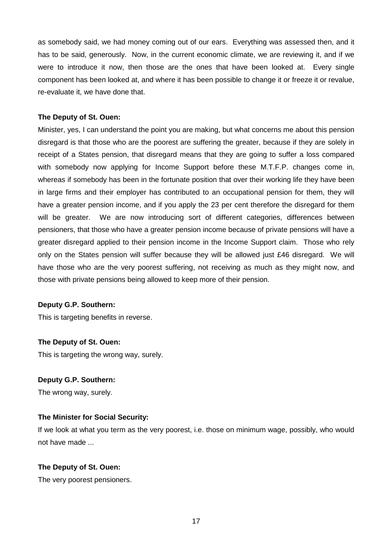as somebody said, we had money coming out of our ears. Everything was assessed then, and it has to be said, generously. Now, in the current economic climate, we are reviewing it, and if we were to introduce it now, then those are the ones that have been looked at. Every single component has been looked at, and where it has been possible to change it or freeze it or revalue, re-evaluate it, we have done that.

#### **The Deputy of St. Ouen:**

Minister, yes, I can understand the point you are making, but what concerns me about this pension disregard is that those who are the poorest are suffering the greater, because if they are solely in receipt of a States pension, that disregard means that they are going to suffer a loss compared with somebody now applying for Income Support before these M.T.F.P. changes come in, whereas if somebody has been in the fortunate position that over their working life they have been in large firms and their employer has contributed to an occupational pension for them, they will have a greater pension income, and if you apply the 23 per cent therefore the disregard for them will be greater. We are now introducing sort of different categories, differences between pensioners, that those who have a greater pension income because of private pensions will have a greater disregard applied to their pension income in the Income Support claim. Those who rely only on the States pension will suffer because they will be allowed just £46 disregard. We will have those who are the very poorest suffering, not receiving as much as they might now, and those with private pensions being allowed to keep more of their pension.

#### **Deputy G.P. Southern:**

This is targeting benefits in reverse.

#### **The Deputy of St. Ouen:**

This is targeting the wrong way, surely.

#### **Deputy G.P. Southern:**

The wrong way, surely.

#### **The Minister for Social Security:**

If we look at what you term as the very poorest, i.e. those on minimum wage, possibly, who would not have made ...

#### **The Deputy of St. Ouen:**

The very poorest pensioners.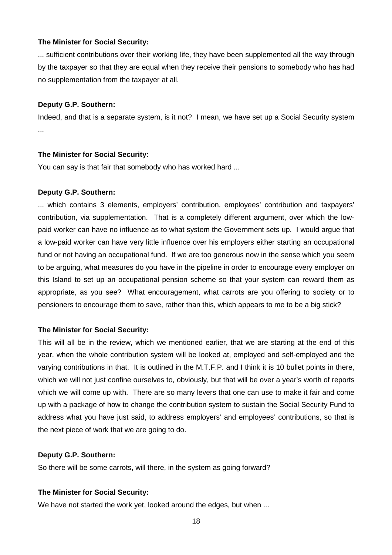#### **The Minister for Social Security:**

... sufficient contributions over their working life, they have been supplemented all the way through by the taxpayer so that they are equal when they receive their pensions to somebody who has had no supplementation from the taxpayer at all.

#### **Deputy G.P. Southern:**

Indeed, and that is a separate system, is it not? I mean, we have set up a Social Security system ...

#### **The Minister for Social Security:**

You can say is that fair that somebody who has worked hard ...

#### **Deputy G.P. Southern:**

... which contains 3 elements, employers' contribution, employees' contribution and taxpayers' contribution, via supplementation. That is a completely different argument, over which the lowpaid worker can have no influence as to what system the Government sets up. I would argue that a low-paid worker can have very little influence over his employers either starting an occupational fund or not having an occupational fund. If we are too generous now in the sense which you seem to be arguing, what measures do you have in the pipeline in order to encourage every employer on this Island to set up an occupational pension scheme so that your system can reward them as appropriate, as you see? What encouragement, what carrots are you offering to society or to pensioners to encourage them to save, rather than this, which appears to me to be a big stick?

#### **The Minister for Social Security:**

This will all be in the review, which we mentioned earlier, that we are starting at the end of this year, when the whole contribution system will be looked at, employed and self-employed and the varying contributions in that. It is outlined in the M.T.F.P. and I think it is 10 bullet points in there, which we will not just confine ourselves to, obviously, but that will be over a year's worth of reports which we will come up with. There are so many levers that one can use to make it fair and come up with a package of how to change the contribution system to sustain the Social Security Fund to address what you have just said, to address employers' and employees' contributions, so that is the next piece of work that we are going to do.

#### **Deputy G.P. Southern:**

So there will be some carrots, will there, in the system as going forward?

#### **The Minister for Social Security:**

We have not started the work yet, looked around the edges, but when ...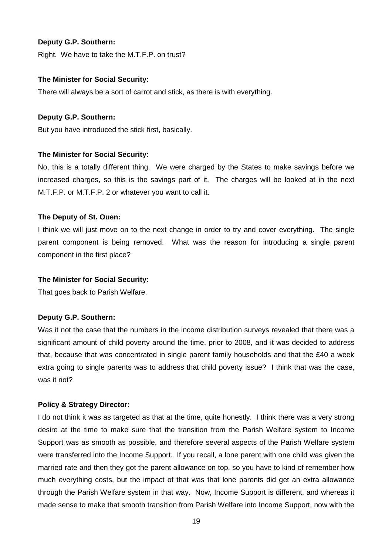Right. We have to take the M.T.F.P. on trust?

#### **The Minister for Social Security:**

There will always be a sort of carrot and stick, as there is with everything.

#### **Deputy G.P. Southern:**

But you have introduced the stick first, basically.

#### **The Minister for Social Security:**

No, this is a totally different thing. We were charged by the States to make savings before we increased charges, so this is the savings part of it. The charges will be looked at in the next M.T.F.P. or M.T.F.P. 2 or whatever you want to call it.

#### **The Deputy of St. Ouen:**

I think we will just move on to the next change in order to try and cover everything. The single parent component is being removed. What was the reason for introducing a single parent component in the first place?

#### **The Minister for Social Security:**

That goes back to Parish Welfare.

#### **Deputy G.P. Southern:**

Was it not the case that the numbers in the income distribution surveys revealed that there was a significant amount of child poverty around the time, prior to 2008, and it was decided to address that, because that was concentrated in single parent family households and that the £40 a week extra going to single parents was to address that child poverty issue? I think that was the case, was it not?

#### **Policy & Strategy Director:**

I do not think it was as targeted as that at the time, quite honestly. I think there was a very strong desire at the time to make sure that the transition from the Parish Welfare system to Income Support was as smooth as possible, and therefore several aspects of the Parish Welfare system were transferred into the Income Support. If you recall, a lone parent with one child was given the married rate and then they got the parent allowance on top, so you have to kind of remember how much everything costs, but the impact of that was that lone parents did get an extra allowance through the Parish Welfare system in that way. Now, Income Support is different, and whereas it made sense to make that smooth transition from Parish Welfare into Income Support, now with the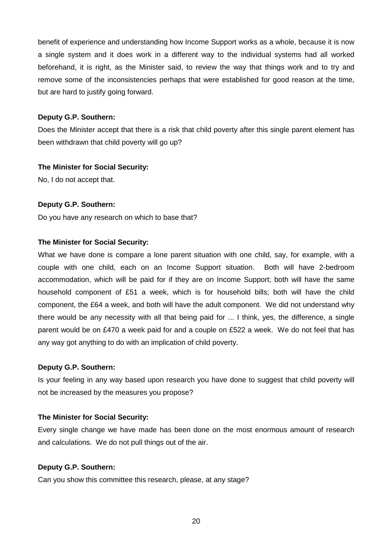benefit of experience and understanding how Income Support works as a whole, because it is now a single system and it does work in a different way to the individual systems had all worked beforehand, it is right, as the Minister said, to review the way that things work and to try and remove some of the inconsistencies perhaps that were established for good reason at the time, but are hard to justify going forward.

## **Deputy G.P. Southern:**

Does the Minister accept that there is a risk that child poverty after this single parent element has been withdrawn that child poverty will go up?

## **The Minister for Social Security:**

No, I do not accept that.

## **Deputy G.P. Southern:**

Do you have any research on which to base that?

## **The Minister for Social Security:**

What we have done is compare a lone parent situation with one child, say, for example, with a couple with one child, each on an Income Support situation. Both will have 2-bedroom accommodation, which will be paid for if they are on Income Support; both will have the same household component of £51 a week, which is for household bills; both will have the child component, the £64 a week, and both will have the adult component. We did not understand why there would be any necessity with all that being paid for ... I think, yes, the difference, a single parent would be on £470 a week paid for and a couple on £522 a week. We do not feel that has any way got anything to do with an implication of child poverty.

#### **Deputy G.P. Southern:**

Is your feeling in any way based upon research you have done to suggest that child poverty will not be increased by the measures you propose?

#### **The Minister for Social Security:**

Every single change we have made has been done on the most enormous amount of research and calculations. We do not pull things out of the air.

#### **Deputy G.P. Southern:**

Can you show this committee this research, please, at any stage?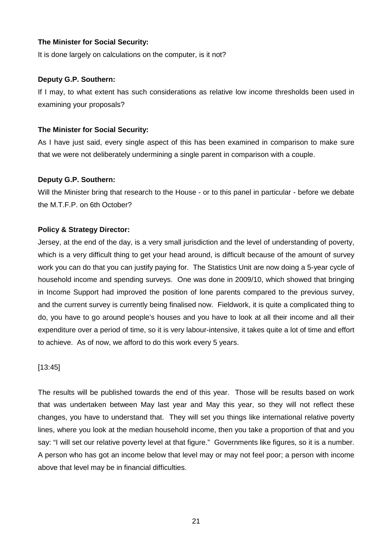#### **The Minister for Social Security:**

It is done largely on calculations on the computer, is it not?

#### **Deputy G.P. Southern:**

If I may, to what extent has such considerations as relative low income thresholds been used in examining your proposals?

## **The Minister for Social Security:**

As I have just said, every single aspect of this has been examined in comparison to make sure that we were not deliberately undermining a single parent in comparison with a couple.

## **Deputy G.P. Southern:**

Will the Minister bring that research to the House - or to this panel in particular - before we debate the M.T.F.P. on 6th October?

## **Policy & Strategy Director:**

Jersey, at the end of the day, is a very small jurisdiction and the level of understanding of poverty, which is a very difficult thing to get your head around, is difficult because of the amount of survey work you can do that you can justify paying for. The Statistics Unit are now doing a 5-year cycle of household income and spending surveys. One was done in 2009/10, which showed that bringing in Income Support had improved the position of lone parents compared to the previous survey, and the current survey is currently being finalised now. Fieldwork, it is quite a complicated thing to do, you have to go around people's houses and you have to look at all their income and all their expenditure over a period of time, so it is very labour-intensive, it takes quite a lot of time and effort to achieve. As of now, we afford to do this work every 5 years.

#### [13:45]

The results will be published towards the end of this year. Those will be results based on work that was undertaken between May last year and May this year, so they will not reflect these changes, you have to understand that. They will set you things like international relative poverty lines, where you look at the median household income, then you take a proportion of that and you say: "I will set our relative poverty level at that figure." Governments like figures, so it is a number. A person who has got an income below that level may or may not feel poor; a person with income above that level may be in financial difficulties.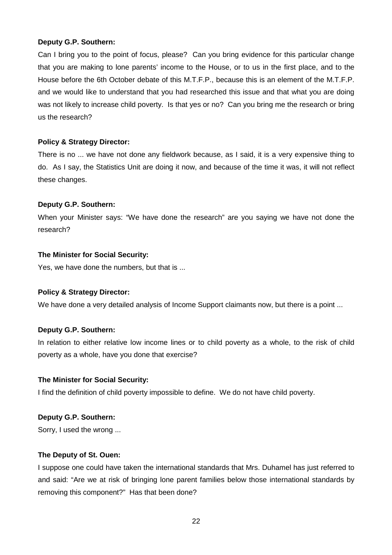Can I bring you to the point of focus, please? Can you bring evidence for this particular change that you are making to lone parents' income to the House, or to us in the first place, and to the House before the 6th October debate of this M.T.F.P., because this is an element of the M.T.F.P. and we would like to understand that you had researched this issue and that what you are doing was not likely to increase child poverty. Is that yes or no? Can you bring me the research or bring us the research?

## **Policy & Strategy Director:**

There is no ... we have not done any fieldwork because, as I said, it is a very expensive thing to do. As I say, the Statistics Unit are doing it now, and because of the time it was, it will not reflect these changes.

## **Deputy G.P. Southern:**

When your Minister says: "We have done the research" are you saying we have not done the research?

## **The Minister for Social Security:**

Yes, we have done the numbers, but that is ...

#### **Policy & Strategy Director:**

We have done a very detailed analysis of Income Support claimants now, but there is a point ...

#### **Deputy G.P. Southern:**

In relation to either relative low income lines or to child poverty as a whole, to the risk of child poverty as a whole, have you done that exercise?

#### **The Minister for Social Security:**

I find the definition of child poverty impossible to define. We do not have child poverty.

#### **Deputy G.P. Southern:**

Sorry, I used the wrong ...

#### **The Deputy of St. Ouen:**

I suppose one could have taken the international standards that Mrs. Duhamel has just referred to and said: "Are we at risk of bringing lone parent families below those international standards by removing this component?" Has that been done?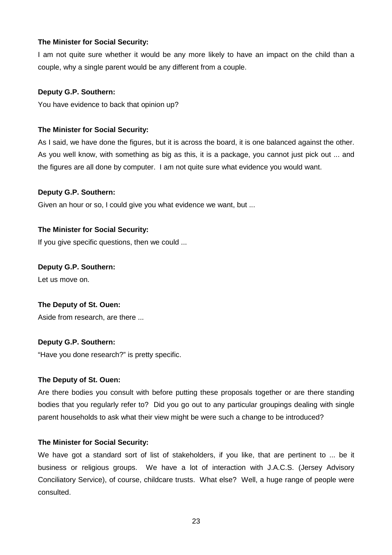## **The Minister for Social Security:**

I am not quite sure whether it would be any more likely to have an impact on the child than a couple, why a single parent would be any different from a couple.

## **Deputy G.P. Southern:**

You have evidence to back that opinion up?

## **The Minister for Social Security:**

As I said, we have done the figures, but it is across the board, it is one balanced against the other. As you well know, with something as big as this, it is a package, you cannot just pick out ... and the figures are all done by computer. I am not quite sure what evidence you would want.

## **Deputy G.P. Southern:**

Given an hour or so, I could give you what evidence we want, but ...

## **The Minister for Social Security:**

If you give specific questions, then we could ...

## **Deputy G.P. Southern:**

Let us move on.

## **The Deputy of St. Ouen:**

Aside from research, are there ...

## **Deputy G.P. Southern:**

"Have you done research?" is pretty specific.

#### **The Deputy of St. Ouen:**

Are there bodies you consult with before putting these proposals together or are there standing bodies that you regularly refer to? Did you go out to any particular groupings dealing with single parent households to ask what their view might be were such a change to be introduced?

#### **The Minister for Social Security:**

We have got a standard sort of list of stakeholders, if you like, that are pertinent to ... be it business or religious groups. We have a lot of interaction with J.A.C.S. (Jersey Advisory Conciliatory Service), of course, childcare trusts. What else? Well, a huge range of people were consulted.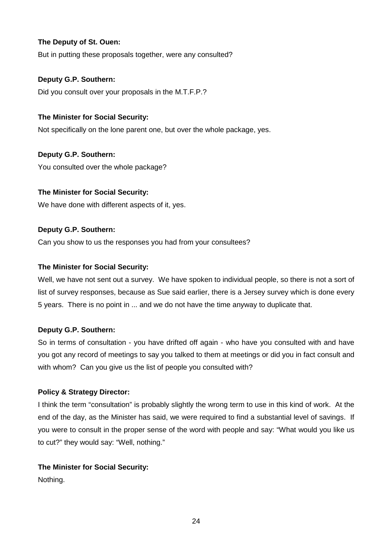## **The Deputy of St. Ouen:**

But in putting these proposals together, were any consulted?

## **Deputy G.P. Southern:**

Did you consult over your proposals in the M.T.F.P.?

## **The Minister for Social Security:**

Not specifically on the lone parent one, but over the whole package, yes.

## **Deputy G.P. Southern:**

You consulted over the whole package?

## **The Minister for Social Security:**

We have done with different aspects of it, yes.

## **Deputy G.P. Southern:**

Can you show to us the responses you had from your consultees?

#### **The Minister for Social Security:**

Well, we have not sent out a survey. We have spoken to individual people, so there is not a sort of list of survey responses, because as Sue said earlier, there is a Jersey survey which is done every 5 years. There is no point in ... and we do not have the time anyway to duplicate that.

#### **Deputy G.P. Southern:**

So in terms of consultation - you have drifted off again - who have you consulted with and have you got any record of meetings to say you talked to them at meetings or did you in fact consult and with whom? Can you give us the list of people you consulted with?

#### **Policy & Strategy Director:**

I think the term "consultation" is probably slightly the wrong term to use in this kind of work. At the end of the day, as the Minister has said, we were required to find a substantial level of savings. If you were to consult in the proper sense of the word with people and say: "What would you like us to cut?" they would say: "Well, nothing."

#### **The Minister for Social Security:**

Nothing.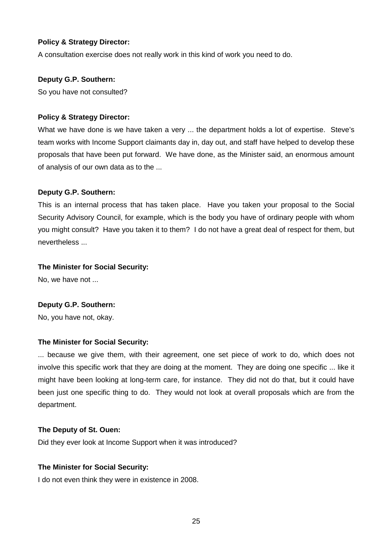#### **Policy & Strategy Director:**

A consultation exercise does not really work in this kind of work you need to do.

#### **Deputy G.P. Southern:**

So you have not consulted?

#### **Policy & Strategy Director:**

What we have done is we have taken a very ... the department holds a lot of expertise. Steve's team works with Income Support claimants day in, day out, and staff have helped to develop these proposals that have been put forward. We have done, as the Minister said, an enormous amount of analysis of our own data as to the ...

#### **Deputy G.P. Southern:**

This is an internal process that has taken place. Have you taken your proposal to the Social Security Advisory Council, for example, which is the body you have of ordinary people with whom you might consult? Have you taken it to them? I do not have a great deal of respect for them, but nevertheless ...

#### **The Minister for Social Security:**

No, we have not ...

#### **Deputy G.P. Southern:**

No, you have not, okay.

#### **The Minister for Social Security:**

... because we give them, with their agreement, one set piece of work to do, which does not involve this specific work that they are doing at the moment. They are doing one specific ... like it might have been looking at long-term care, for instance. They did not do that, but it could have been just one specific thing to do. They would not look at overall proposals which are from the department.

#### **The Deputy of St. Ouen:**

Did they ever look at Income Support when it was introduced?

#### **The Minister for Social Security:**

I do not even think they were in existence in 2008.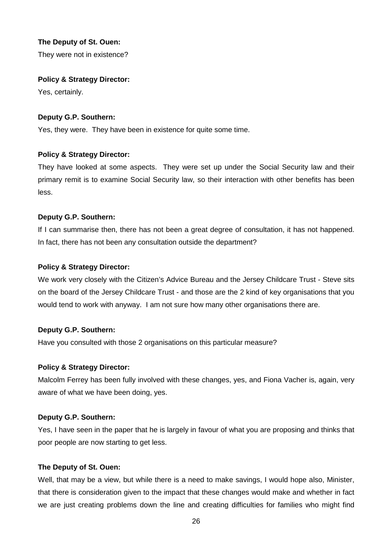## **The Deputy of St. Ouen:**

They were not in existence?

#### **Policy & Strategy Director:**

Yes, certainly.

## **Deputy G.P. Southern:**

Yes, they were. They have been in existence for quite some time.

## **Policy & Strategy Director:**

They have looked at some aspects. They were set up under the Social Security law and their primary remit is to examine Social Security law, so their interaction with other benefits has been less.

#### **Deputy G.P. Southern:**

If I can summarise then, there has not been a great degree of consultation, it has not happened. In fact, there has not been any consultation outside the department?

#### **Policy & Strategy Director:**

We work very closely with the Citizen's Advice Bureau and the Jersey Childcare Trust - Steve sits on the board of the Jersey Childcare Trust - and those are the 2 kind of key organisations that you would tend to work with anyway. I am not sure how many other organisations there are.

#### **Deputy G.P. Southern:**

Have you consulted with those 2 organisations on this particular measure?

#### **Policy & Strategy Director:**

Malcolm Ferrey has been fully involved with these changes, yes, and Fiona Vacher is, again, very aware of what we have been doing, yes.

#### **Deputy G.P. Southern:**

Yes, I have seen in the paper that he is largely in favour of what you are proposing and thinks that poor people are now starting to get less.

#### **The Deputy of St. Ouen:**

Well, that may be a view, but while there is a need to make savings, I would hope also, Minister, that there is consideration given to the impact that these changes would make and whether in fact we are just creating problems down the line and creating difficulties for families who might find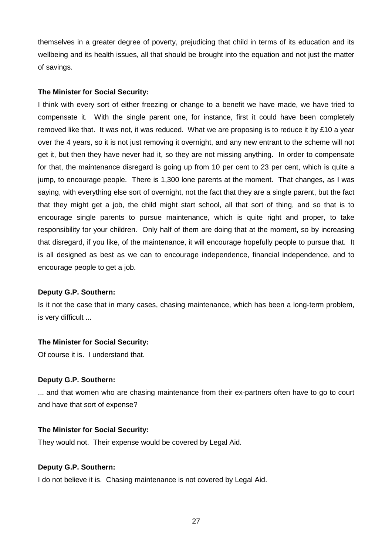themselves in a greater degree of poverty, prejudicing that child in terms of its education and its wellbeing and its health issues, all that should be brought into the equation and not just the matter of savings.

#### **The Minister for Social Security:**

I think with every sort of either freezing or change to a benefit we have made, we have tried to compensate it. With the single parent one, for instance, first it could have been completely removed like that. It was not, it was reduced. What we are proposing is to reduce it by £10 a year over the 4 years, so it is not just removing it overnight, and any new entrant to the scheme will not get it, but then they have never had it, so they are not missing anything. In order to compensate for that, the maintenance disregard is going up from 10 per cent to 23 per cent, which is quite a jump, to encourage people. There is 1,300 lone parents at the moment. That changes, as I was saying, with everything else sort of overnight, not the fact that they are a single parent, but the fact that they might get a job, the child might start school, all that sort of thing, and so that is to encourage single parents to pursue maintenance, which is quite right and proper, to take responsibility for your children. Only half of them are doing that at the moment, so by increasing that disregard, if you like, of the maintenance, it will encourage hopefully people to pursue that. It is all designed as best as we can to encourage independence, financial independence, and to encourage people to get a job.

#### **Deputy G.P. Southern:**

Is it not the case that in many cases, chasing maintenance, which has been a long-term problem, is very difficult ...

#### **The Minister for Social Security:**

Of course it is. I understand that.

#### **Deputy G.P. Southern:**

... and that women who are chasing maintenance from their ex-partners often have to go to court and have that sort of expense?

#### **The Minister for Social Security:**

They would not. Their expense would be covered by Legal Aid.

#### **Deputy G.P. Southern:**

I do not believe it is. Chasing maintenance is not covered by Legal Aid.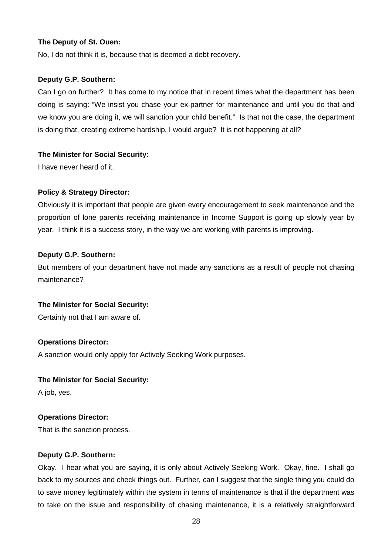#### **The Deputy of St. Ouen:**

No, I do not think it is, because that is deemed a debt recovery.

#### **Deputy G.P. Southern:**

Can I go on further? It has come to my notice that in recent times what the department has been doing is saying: "We insist you chase your ex-partner for maintenance and until you do that and we know you are doing it, we will sanction your child benefit." Is that not the case, the department is doing that, creating extreme hardship, I would argue? It is not happening at all?

#### **The Minister for Social Security:**

I have never heard of it.

#### **Policy & Strategy Director:**

Obviously it is important that people are given every encouragement to seek maintenance and the proportion of lone parents receiving maintenance in Income Support is going up slowly year by year. I think it is a success story, in the way we are working with parents is improving.

#### **Deputy G.P. Southern:**

But members of your department have not made any sanctions as a result of people not chasing maintenance?

#### **The Minister for Social Security:**

Certainly not that I am aware of.

#### **Operations Director:**

A sanction would only apply for Actively Seeking Work purposes.

#### **The Minister for Social Security:**

A job, yes.

#### **Operations Director:**

That is the sanction process.

#### **Deputy G.P. Southern:**

Okay. I hear what you are saying, it is only about Actively Seeking Work. Okay, fine. I shall go back to my sources and check things out. Further, can I suggest that the single thing you could do to save money legitimately within the system in terms of maintenance is that if the department was to take on the issue and responsibility of chasing maintenance, it is a relatively straightforward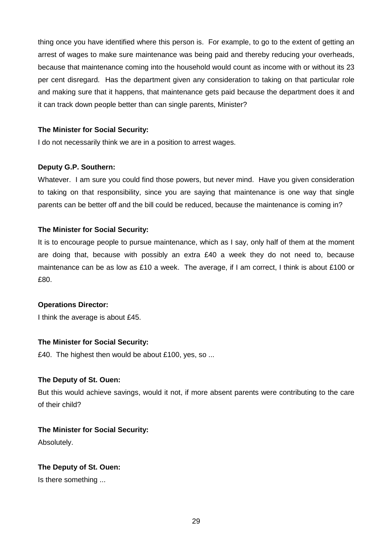thing once you have identified where this person is. For example, to go to the extent of getting an arrest of wages to make sure maintenance was being paid and thereby reducing your overheads, because that maintenance coming into the household would count as income with or without its 23 per cent disregard. Has the department given any consideration to taking on that particular role and making sure that it happens, that maintenance gets paid because the department does it and it can track down people better than can single parents, Minister?

## **The Minister for Social Security:**

I do not necessarily think we are in a position to arrest wages.

#### **Deputy G.P. Southern:**

Whatever. I am sure you could find those powers, but never mind. Have you given consideration to taking on that responsibility, since you are saying that maintenance is one way that single parents can be better off and the bill could be reduced, because the maintenance is coming in?

#### **The Minister for Social Security:**

It is to encourage people to pursue maintenance, which as I say, only half of them at the moment are doing that, because with possibly an extra £40 a week they do not need to, because maintenance can be as low as £10 a week. The average, if I am correct, I think is about £100 or £80.

#### **Operations Director:**

I think the average is about £45.

## **The Minister for Social Security:**

£40. The highest then would be about £100, yes, so ...

#### **The Deputy of St. Ouen:**

But this would achieve savings, would it not, if more absent parents were contributing to the care of their child?

## **The Minister for Social Security:**

Absolutely.

## **The Deputy of St. Ouen:**

Is there something ...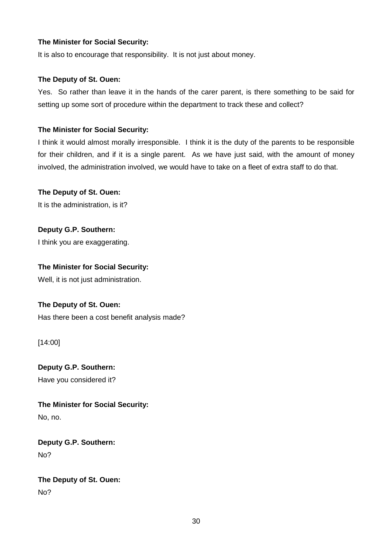## **The Minister for Social Security:**

It is also to encourage that responsibility. It is not just about money.

## **The Deputy of St. Ouen:**

Yes. So rather than leave it in the hands of the carer parent, is there something to be said for setting up some sort of procedure within the department to track these and collect?

## **The Minister for Social Security:**

I think it would almost morally irresponsible. I think it is the duty of the parents to be responsible for their children, and if it is a single parent. As we have just said, with the amount of money involved, the administration involved, we would have to take on a fleet of extra staff to do that.

## **The Deputy of St. Ouen:**

It is the administration, is it?

**Deputy G.P. Southern:** I think you are exaggerating.

## **The Minister for Social Security:**

Well, it is not just administration.

## **The Deputy of St. Ouen:**

Has there been a cost benefit analysis made?

[14:00]

**Deputy G.P. Southern:** Have you considered it?

**The Minister for Social Security:** No, no.

**Deputy G.P. Southern:** No?

## **The Deputy of St. Ouen:** No?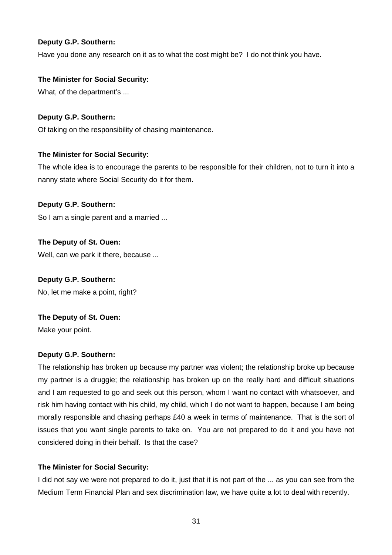Have you done any research on it as to what the cost might be? I do not think you have.

## **The Minister for Social Security:**

What, of the department's ...

## **Deputy G.P. Southern:**

Of taking on the responsibility of chasing maintenance.

## **The Minister for Social Security:**

The whole idea is to encourage the parents to be responsible for their children, not to turn it into a nanny state where Social Security do it for them.

## **Deputy G.P. Southern:**

So I am a single parent and a married ...

## **The Deputy of St. Ouen:**

Well, can we park it there, because ...

## **Deputy G.P. Southern:**

No, let me make a point, right?

## **The Deputy of St. Ouen:**

Make your point.

## **Deputy G.P. Southern:**

The relationship has broken up because my partner was violent; the relationship broke up because my partner is a druggie; the relationship has broken up on the really hard and difficult situations and I am requested to go and seek out this person, whom I want no contact with whatsoever, and risk him having contact with his child, my child, which I do not want to happen, because I am being morally responsible and chasing perhaps £40 a week in terms of maintenance. That is the sort of issues that you want single parents to take on. You are not prepared to do it and you have not considered doing in their behalf. Is that the case?

## **The Minister for Social Security:**

I did not say we were not prepared to do it, just that it is not part of the ... as you can see from the Medium Term Financial Plan and sex discrimination law, we have quite a lot to deal with recently.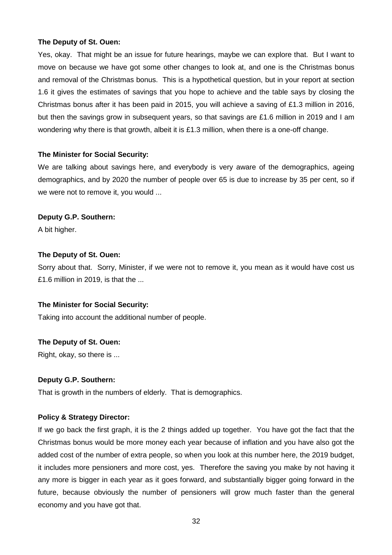#### **The Deputy of St. Ouen:**

Yes, okay. That might be an issue for future hearings, maybe we can explore that. But I want to move on because we have got some other changes to look at, and one is the Christmas bonus and removal of the Christmas bonus. This is a hypothetical question, but in your report at section 1.6 it gives the estimates of savings that you hope to achieve and the table says by closing the Christmas bonus after it has been paid in 2015, you will achieve a saving of £1.3 million in 2016, but then the savings grow in subsequent years, so that savings are £1.6 million in 2019 and I am wondering why there is that growth, albeit it is £1.3 million, when there is a one-off change.

#### **The Minister for Social Security:**

We are talking about savings here, and everybody is very aware of the demographics, ageing demographics, and by 2020 the number of people over 65 is due to increase by 35 per cent, so if we were not to remove it, you would ...

#### **Deputy G.P. Southern:**

A bit higher.

#### **The Deputy of St. Ouen:**

Sorry about that. Sorry, Minister, if we were not to remove it, you mean as it would have cost us £1.6 million in 2019, is that the ...

#### **The Minister for Social Security:**

Taking into account the additional number of people.

#### **The Deputy of St. Ouen:**

Right, okay, so there is ...

#### **Deputy G.P. Southern:**

That is growth in the numbers of elderly. That is demographics.

#### **Policy & Strategy Director:**

If we go back the first graph, it is the 2 things added up together. You have got the fact that the Christmas bonus would be more money each year because of inflation and you have also got the added cost of the number of extra people, so when you look at this number here, the 2019 budget, it includes more pensioners and more cost, yes. Therefore the saving you make by not having it any more is bigger in each year as it goes forward, and substantially bigger going forward in the future, because obviously the number of pensioners will grow much faster than the general economy and you have got that.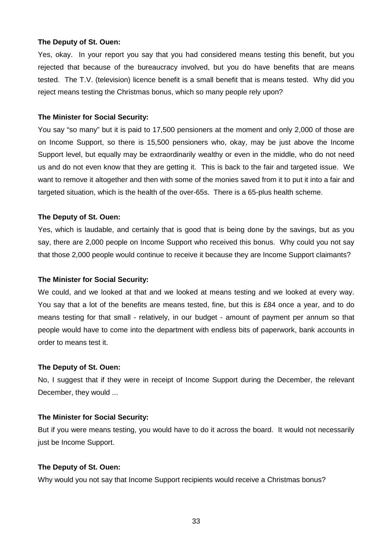#### **The Deputy of St. Ouen:**

Yes, okay. In your report you say that you had considered means testing this benefit, but you rejected that because of the bureaucracy involved, but you do have benefits that are means tested. The T.V. (television) licence benefit is a small benefit that is means tested. Why did you reject means testing the Christmas bonus, which so many people rely upon?

#### **The Minister for Social Security:**

You say "so many" but it is paid to 17,500 pensioners at the moment and only 2,000 of those are on Income Support, so there is 15,500 pensioners who, okay, may be just above the Income Support level, but equally may be extraordinarily wealthy or even in the middle, who do not need us and do not even know that they are getting it. This is back to the fair and targeted issue. We want to remove it altogether and then with some of the monies saved from it to put it into a fair and targeted situation, which is the health of the over-65s. There is a 65-plus health scheme.

#### **The Deputy of St. Ouen:**

Yes, which is laudable, and certainly that is good that is being done by the savings, but as you say, there are 2,000 people on Income Support who received this bonus. Why could you not say that those 2,000 people would continue to receive it because they are Income Support claimants?

#### **The Minister for Social Security:**

We could, and we looked at that and we looked at means testing and we looked at every way. You say that a lot of the benefits are means tested, fine, but this is £84 once a year, and to do means testing for that small - relatively, in our budget - amount of payment per annum so that people would have to come into the department with endless bits of paperwork, bank accounts in order to means test it.

#### **The Deputy of St. Ouen:**

No, I suggest that if they were in receipt of Income Support during the December, the relevant December, they would ...

#### **The Minister for Social Security:**

But if you were means testing, you would have to do it across the board. It would not necessarily just be Income Support.

#### **The Deputy of St. Ouen:**

Why would you not say that Income Support recipients would receive a Christmas bonus?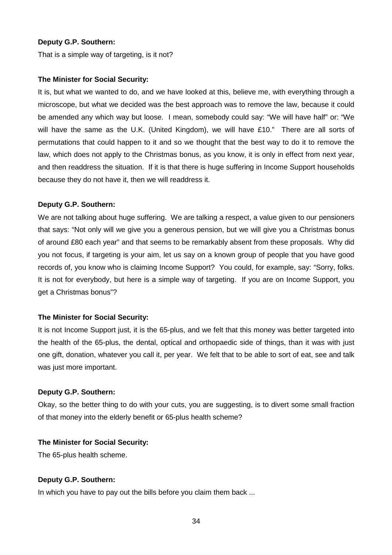That is a simple way of targeting, is it not?

#### **The Minister for Social Security:**

It is, but what we wanted to do, and we have looked at this, believe me, with everything through a microscope, but what we decided was the best approach was to remove the law, because it could be amended any which way but loose. I mean, somebody could say: "We will have half" or: "We will have the same as the U.K. (United Kingdom), we will have £10." There are all sorts of permutations that could happen to it and so we thought that the best way to do it to remove the law, which does not apply to the Christmas bonus, as you know, it is only in effect from next year, and then readdress the situation. If it is that there is huge suffering in Income Support households because they do not have it, then we will readdress it.

## **Deputy G.P. Southern:**

We are not talking about huge suffering. We are talking a respect, a value given to our pensioners that says: "Not only will we give you a generous pension, but we will give you a Christmas bonus of around £80 each year" and that seems to be remarkably absent from these proposals. Why did you not focus, if targeting is your aim, let us say on a known group of people that you have good records of, you know who is claiming Income Support? You could, for example, say: "Sorry, folks. It is not for everybody, but here is a simple way of targeting. If you are on Income Support, you get a Christmas bonus"?

## **The Minister for Social Security:**

It is not Income Support just, it is the 65-plus, and we felt that this money was better targeted into the health of the 65-plus, the dental, optical and orthopaedic side of things, than it was with just one gift, donation, whatever you call it, per year. We felt that to be able to sort of eat, see and talk was just more important.

#### **Deputy G.P. Southern:**

Okay, so the better thing to do with your cuts, you are suggesting, is to divert some small fraction of that money into the elderly benefit or 65-plus health scheme?

#### **The Minister for Social Security:**

The 65-plus health scheme.

#### **Deputy G.P. Southern:**

In which you have to pay out the bills before you claim them back ...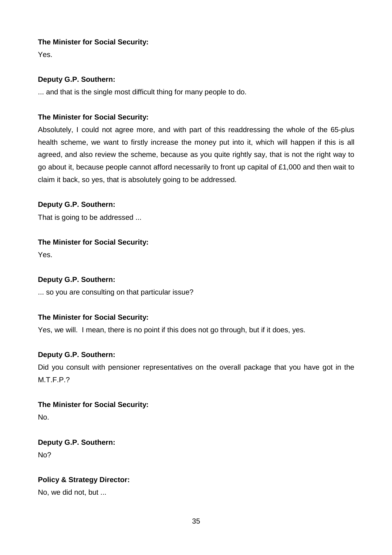## **The Minister for Social Security:**

Yes.

## **Deputy G.P. Southern:**

... and that is the single most difficult thing for many people to do.

## **The Minister for Social Security:**

Absolutely, I could not agree more, and with part of this readdressing the whole of the 65-plus health scheme, we want to firstly increase the money put into it, which will happen if this is all agreed, and also review the scheme, because as you quite rightly say, that is not the right way to go about it, because people cannot afford necessarily to front up capital of £1,000 and then wait to claim it back, so yes, that is absolutely going to be addressed.

## **Deputy G.P. Southern:**

That is going to be addressed ...

## **The Minister for Social Security:**

Yes.

## **Deputy G.P. Southern:**

... so you are consulting on that particular issue?

## **The Minister for Social Security:**

Yes, we will. I mean, there is no point if this does not go through, but if it does, yes.

## **Deputy G.P. Southern:**

Did you consult with pensioner representatives on the overall package that you have got in the M.T.F.P.?

**The Minister for Social Security:** No.

**Deputy G.P. Southern:**

No?

## **Policy & Strategy Director:**

No, we did not, but ...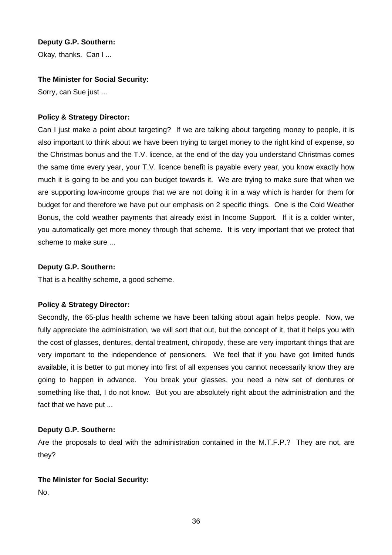Okay, thanks. Can I ...

## **The Minister for Social Security:**

Sorry, can Sue just ...

## **Policy & Strategy Director:**

Can I just make a point about targeting? If we are talking about targeting money to people, it is also important to think about we have been trying to target money to the right kind of expense, so the Christmas bonus and the T.V. licence, at the end of the day you understand Christmas comes the same time every year, your T.V. licence benefit is payable every year, you know exactly how much it is going to be and you can budget towards it. We are trying to make sure that when we are supporting low-income groups that we are not doing it in a way which is harder for them for budget for and therefore we have put our emphasis on 2 specific things. One is the Cold Weather Bonus, the cold weather payments that already exist in Income Support. If it is a colder winter, you automatically get more money through that scheme. It is very important that we protect that scheme to make sure ...

#### **Deputy G.P. Southern:**

That is a healthy scheme, a good scheme.

#### **Policy & Strategy Director:**

Secondly, the 65-plus health scheme we have been talking about again helps people. Now, we fully appreciate the administration, we will sort that out, but the concept of it, that it helps you with the cost of glasses, dentures, dental treatment, chiropody, these are very important things that are very important to the independence of pensioners. We feel that if you have got limited funds available, it is better to put money into first of all expenses you cannot necessarily know they are going to happen in advance. You break your glasses, you need a new set of dentures or something like that, I do not know. But you are absolutely right about the administration and the fact that we have put ...

## **Deputy G.P. Southern:**

Are the proposals to deal with the administration contained in the M.T.F.P.? They are not, are they?

#### **The Minister for Social Security:**

No.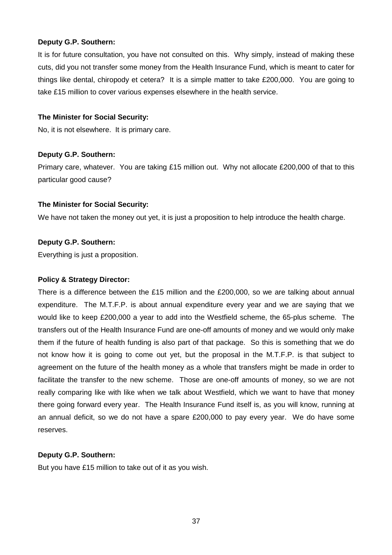It is for future consultation, you have not consulted on this. Why simply, instead of making these cuts, did you not transfer some money from the Health Insurance Fund, which is meant to cater for things like dental, chiropody et cetera? It is a simple matter to take £200,000. You are going to take £15 million to cover various expenses elsewhere in the health service.

## **The Minister for Social Security:**

No, it is not elsewhere. It is primary care.

## **Deputy G.P. Southern:**

Primary care, whatever. You are taking £15 million out. Why not allocate £200,000 of that to this particular good cause?

## **The Minister for Social Security:**

We have not taken the money out yet, it is just a proposition to help introduce the health charge.

## **Deputy G.P. Southern:**

Everything is just a proposition.

#### **Policy & Strategy Director:**

There is a difference between the £15 million and the £200,000, so we are talking about annual expenditure. The M.T.F.P. is about annual expenditure every year and we are saying that we would like to keep £200,000 a year to add into the Westfield scheme, the 65-plus scheme. The transfers out of the Health Insurance Fund are one-off amounts of money and we would only make them if the future of health funding is also part of that package. So this is something that we do not know how it is going to come out yet, but the proposal in the M.T.F.P. is that subject to agreement on the future of the health money as a whole that transfers might be made in order to facilitate the transfer to the new scheme. Those are one-off amounts of money, so we are not really comparing like with like when we talk about Westfield, which we want to have that money there going forward every year. The Health Insurance Fund itself is, as you will know, running at an annual deficit, so we do not have a spare £200,000 to pay every year. We do have some reserves.

## **Deputy G.P. Southern:**

But you have £15 million to take out of it as you wish.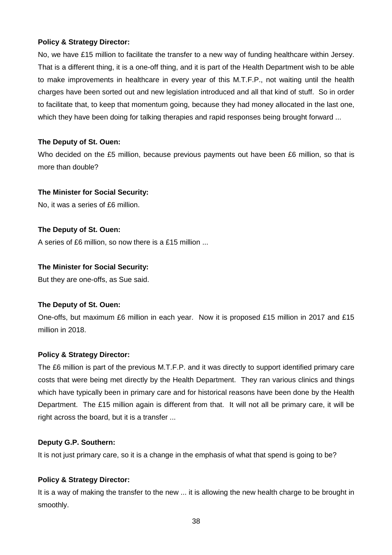## **Policy & Strategy Director:**

No, we have £15 million to facilitate the transfer to a new way of funding healthcare within Jersey. That is a different thing, it is a one-off thing, and it is part of the Health Department wish to be able to make improvements in healthcare in every year of this M.T.F.P., not waiting until the health charges have been sorted out and new legislation introduced and all that kind of stuff. So in order to facilitate that, to keep that momentum going, because they had money allocated in the last one, which they have been doing for talking therapies and rapid responses being brought forward ...

## **The Deputy of St. Ouen:**

Who decided on the £5 million, because previous payments out have been £6 million, so that is more than double?

## **The Minister for Social Security:**

No, it was a series of £6 million.

## **The Deputy of St. Ouen:**

A series of £6 million, so now there is a £15 million ...

## **The Minister for Social Security:**

But they are one-offs, as Sue said.

#### **The Deputy of St. Ouen:**

One-offs, but maximum £6 million in each year. Now it is proposed £15 million in 2017 and £15 million in 2018.

## **Policy & Strategy Director:**

The £6 million is part of the previous M.T.F.P. and it was directly to support identified primary care costs that were being met directly by the Health Department. They ran various clinics and things which have typically been in primary care and for historical reasons have been done by the Health Department. The £15 million again is different from that. It will not all be primary care, it will be right across the board, but it is a transfer ...

#### **Deputy G.P. Southern:**

It is not just primary care, so it is a change in the emphasis of what that spend is going to be?

## **Policy & Strategy Director:**

It is a way of making the transfer to the new ... it is allowing the new health charge to be brought in smoothly.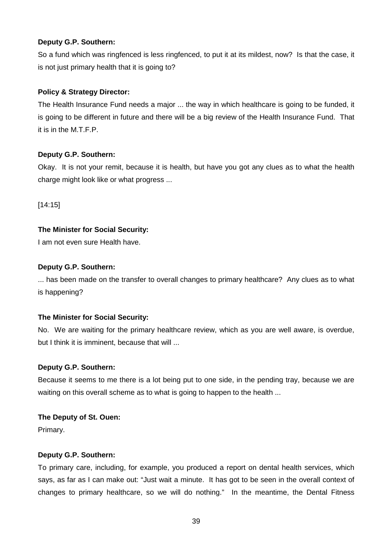So a fund which was ringfenced is less ringfenced, to put it at its mildest, now? Is that the case, it is not just primary health that it is going to?

## **Policy & Strategy Director:**

The Health Insurance Fund needs a major ... the way in which healthcare is going to be funded, it is going to be different in future and there will be a big review of the Health Insurance Fund. That it is in the M.T.F.P.

## **Deputy G.P. Southern:**

Okay. It is not your remit, because it is health, but have you got any clues as to what the health charge might look like or what progress ...

[14:15]

## **The Minister for Social Security:**

I am not even sure Health have.

## **Deputy G.P. Southern:**

... has been made on the transfer to overall changes to primary healthcare? Any clues as to what is happening?

#### **The Minister for Social Security:**

No. We are waiting for the primary healthcare review, which as you are well aware, is overdue, but I think it is imminent, because that will ...

#### **Deputy G.P. Southern:**

Because it seems to me there is a lot being put to one side, in the pending tray, because we are waiting on this overall scheme as to what is going to happen to the health ...

#### **The Deputy of St. Ouen:**

Primary.

#### **Deputy G.P. Southern:**

To primary care, including, for example, you produced a report on dental health services, which says, as far as I can make out: "Just wait a minute. It has got to be seen in the overall context of changes to primary healthcare, so we will do nothing." In the meantime, the Dental Fitness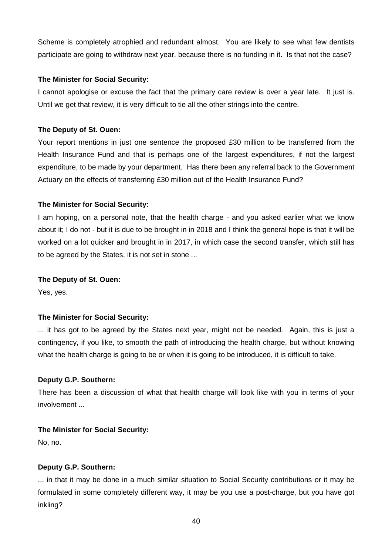Scheme is completely atrophied and redundant almost. You are likely to see what few dentists participate are going to withdraw next year, because there is no funding in it. Is that not the case?

#### **The Minister for Social Security:**

I cannot apologise or excuse the fact that the primary care review is over a year late. It just is. Until we get that review, it is very difficult to tie all the other strings into the centre.

## **The Deputy of St. Ouen:**

Your report mentions in just one sentence the proposed £30 million to be transferred from the Health Insurance Fund and that is perhaps one of the largest expenditures, if not the largest expenditure, to be made by your department. Has there been any referral back to the Government Actuary on the effects of transferring £30 million out of the Health Insurance Fund?

## **The Minister for Social Security:**

I am hoping, on a personal note, that the health charge - and you asked earlier what we know about it; I do not - but it is due to be brought in in 2018 and I think the general hope is that it will be worked on a lot quicker and brought in in 2017, in which case the second transfer, which still has to be agreed by the States, it is not set in stone ...

## **The Deputy of St. Ouen:**

Yes, yes.

## **The Minister for Social Security:**

... it has got to be agreed by the States next year, might not be needed. Again, this is just a contingency, if you like, to smooth the path of introducing the health charge, but without knowing what the health charge is going to be or when it is going to be introduced, it is difficult to take.

## **Deputy G.P. Southern:**

There has been a discussion of what that health charge will look like with you in terms of your involvement ...

## **The Minister for Social Security:**

No, no.

#### **Deputy G.P. Southern:**

... in that it may be done in a much similar situation to Social Security contributions or it may be formulated in some completely different way, it may be you use a post-charge, but you have got inkling?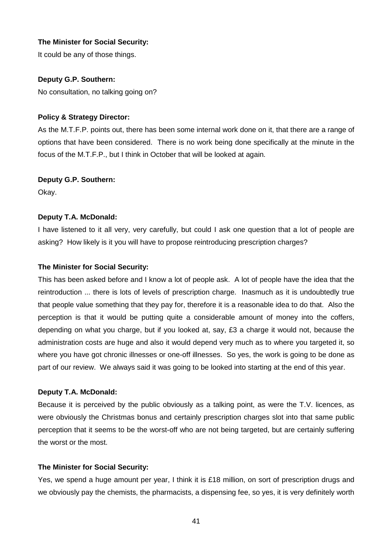## **The Minister for Social Security:**

It could be any of those things.

## **Deputy G.P. Southern:**

No consultation, no talking going on?

## **Policy & Strategy Director:**

As the M.T.F.P. points out, there has been some internal work done on it, that there are a range of options that have been considered. There is no work being done specifically at the minute in the focus of the M.T.F.P., but I think in October that will be looked at again.

#### **Deputy G.P. Southern:**

Okay.

## **Deputy T.A. McDonald:**

I have listened to it all very, very carefully, but could I ask one question that a lot of people are asking? How likely is it you will have to propose reintroducing prescription charges?

#### **The Minister for Social Security:**

This has been asked before and I know a lot of people ask. A lot of people have the idea that the reintroduction ... there is lots of levels of prescription charge. Inasmuch as it is undoubtedly true that people value something that they pay for, therefore it is a reasonable idea to do that. Also the perception is that it would be putting quite a considerable amount of money into the coffers, depending on what you charge, but if you looked at, say, £3 a charge it would not, because the administration costs are huge and also it would depend very much as to where you targeted it, so where you have got chronic illnesses or one-off illnesses. So yes, the work is going to be done as part of our review. We always said it was going to be looked into starting at the end of this year.

#### **Deputy T.A. McDonald:**

Because it is perceived by the public obviously as a talking point, as were the T.V. licences, as were obviously the Christmas bonus and certainly prescription charges slot into that same public perception that it seems to be the worst-off who are not being targeted, but are certainly suffering the worst or the most.

#### **The Minister for Social Security:**

Yes, we spend a huge amount per year, I think it is £18 million, on sort of prescription drugs and we obviously pay the chemists, the pharmacists, a dispensing fee, so yes, it is very definitely worth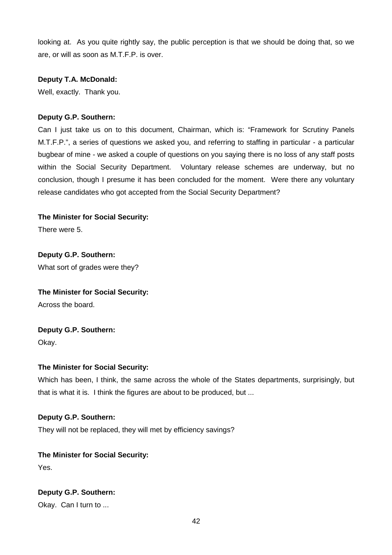looking at. As you quite rightly say, the public perception is that we should be doing that, so we are, or will as soon as M.T.F.P. is over.

#### **Deputy T.A. McDonald:**

Well, exactly. Thank you.

## **Deputy G.P. Southern:**

Can I just take us on to this document, Chairman, which is: "Framework for Scrutiny Panels M.T.F.P.", a series of questions we asked you, and referring to staffing in particular - a particular bugbear of mine - we asked a couple of questions on you saying there is no loss of any staff posts within the Social Security Department. Voluntary release schemes are underway, but no conclusion, though I presume it has been concluded for the moment. Were there any voluntary release candidates who got accepted from the Social Security Department?

## **The Minister for Social Security:**

There were 5.

**Deputy G.P. Southern:** What sort of grades were they?

#### **The Minister for Social Security:**

Across the board.

## **Deputy G.P. Southern:**

Okay.

#### **The Minister for Social Security:**

Which has been, I think, the same across the whole of the States departments, surprisingly, but that is what it is. I think the figures are about to be produced, but ...

#### **Deputy G.P. Southern:**

They will not be replaced, they will met by efficiency savings?

## **The Minister for Social Security:**

Yes.

## **Deputy G.P. Southern:**

Okay. Can I turn to ...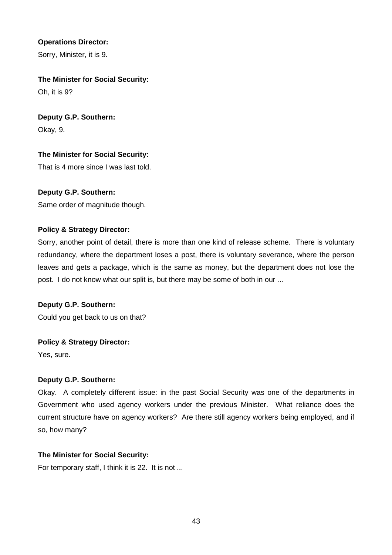## **Operations Director:**

Sorry, Minister, it is 9.

## **The Minister for Social Security:**

Oh, it is 9?

## **Deputy G.P. Southern:**

Okay, 9.

## **The Minister for Social Security:**

That is 4 more since I was last told.

## **Deputy G.P. Southern:**

Same order of magnitude though.

## **Policy & Strategy Director:**

Sorry, another point of detail, there is more than one kind of release scheme. There is voluntary redundancy, where the department loses a post, there is voluntary severance, where the person leaves and gets a package, which is the same as money, but the department does not lose the post. I do not know what our split is, but there may be some of both in our ...

## **Deputy G.P. Southern:**

Could you get back to us on that?

## **Policy & Strategy Director:**

Yes, sure.

## **Deputy G.P. Southern:**

Okay. A completely different issue: in the past Social Security was one of the departments in Government who used agency workers under the previous Minister. What reliance does the current structure have on agency workers? Are there still agency workers being employed, and if so, how many?

#### **The Minister for Social Security:**

For temporary staff, I think it is 22. It is not ...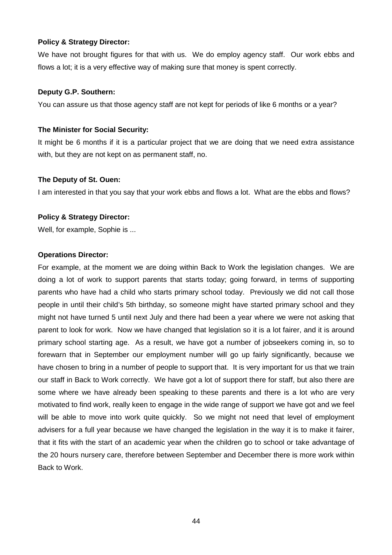#### **Policy & Strategy Director:**

We have not brought figures for that with us. We do employ agency staff. Our work ebbs and flows a lot; it is a very effective way of making sure that money is spent correctly.

#### **Deputy G.P. Southern:**

You can assure us that those agency staff are not kept for periods of like 6 months or a year?

#### **The Minister for Social Security:**

It might be 6 months if it is a particular project that we are doing that we need extra assistance with, but they are not kept on as permanent staff, no.

#### **The Deputy of St. Ouen:**

I am interested in that you say that your work ebbs and flows a lot. What are the ebbs and flows?

#### **Policy & Strategy Director:**

Well, for example, Sophie is ...

#### **Operations Director:**

For example, at the moment we are doing within Back to Work the legislation changes. We are doing a lot of work to support parents that starts today; going forward, in terms of supporting parents who have had a child who starts primary school today. Previously we did not call those people in until their child's 5th birthday, so someone might have started primary school and they might not have turned 5 until next July and there had been a year where we were not asking that parent to look for work. Now we have changed that legislation so it is a lot fairer, and it is around primary school starting age. As a result, we have got a number of jobseekers coming in, so to forewarn that in September our employment number will go up fairly significantly, because we have chosen to bring in a number of people to support that. It is very important for us that we train our staff in Back to Work correctly. We have got a lot of support there for staff, but also there are some where we have already been speaking to these parents and there is a lot who are very motivated to find work, really keen to engage in the wide range of support we have got and we feel will be able to move into work quite quickly. So we might not need that level of employment advisers for a full year because we have changed the legislation in the way it is to make it fairer, that it fits with the start of an academic year when the children go to school or take advantage of the 20 hours nursery care, therefore between September and December there is more work within Back to Work.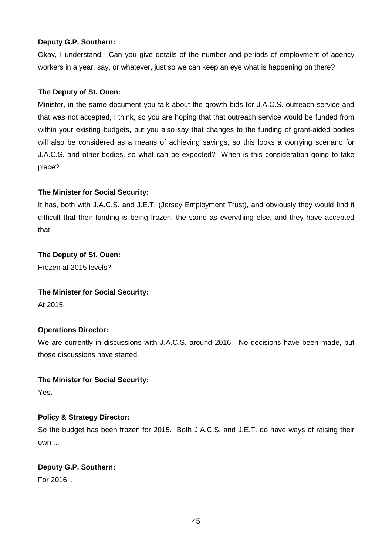Okay, I understand. Can you give details of the number and periods of employment of agency workers in a year, say, or whatever, just so we can keep an eye what is happening on there?

## **The Deputy of St. Ouen:**

Minister, in the same document you talk about the growth bids for J.A.C.S. outreach service and that was not accepted, I think, so you are hoping that that outreach service would be funded from within your existing budgets, but you also say that changes to the funding of grant-aided bodies will also be considered as a means of achieving savings, so this looks a worrying scenario for J.A.C.S. and other bodies, so what can be expected? When is this consideration going to take place?

## **The Minister for Social Security:**

It has, both with J.A.C.S. and J.E.T. (Jersey Employment Trust), and obviously they would find it difficult that their funding is being frozen, the same as everything else, and they have accepted that.

#### **The Deputy of St. Ouen:**

Frozen at 2015 levels?

#### **The Minister for Social Security:**

At 2015.

## **Operations Director:**

We are currently in discussions with J.A.C.S. around 2016. No decisions have been made, but those discussions have started.

#### **The Minister for Social Security:**

Yes.

## **Policy & Strategy Director:**

So the budget has been frozen for 2015. Both J.A.C.S. and J.E.T. do have ways of raising their own ...

## **Deputy G.P. Southern:**

For 2016 ...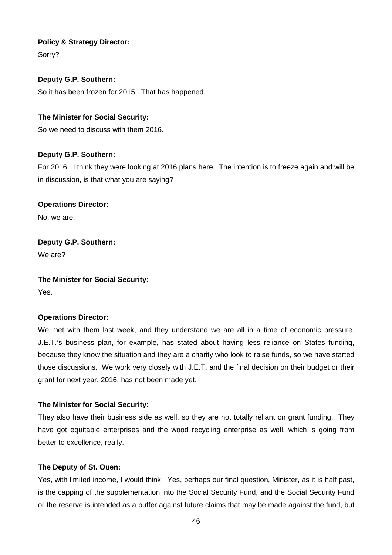## **Policy & Strategy Director:**

Sorry?

## **Deputy G.P. Southern:**

So it has been frozen for 2015. That has happened.

## **The Minister for Social Security:**

So we need to discuss with them 2016.

## **Deputy G.P. Southern:**

For 2016. I think they were looking at 2016 plans here. The intention is to freeze again and will be in discussion, is that what you are saying?

## **Operations Director:**

No, we are.

## **Deputy G.P. Southern:**

We are?

## **The Minister for Social Security:**

Yes.

#### **Operations Director:**

We met with them last week, and they understand we are all in a time of economic pressure. J.E.T.'s business plan, for example, has stated about having less reliance on States funding, because they know the situation and they are a charity who look to raise funds, so we have started those discussions. We work very closely with J.E.T. and the final decision on their budget or their grant for next year, 2016, has not been made yet.

#### **The Minister for Social Security:**

They also have their business side as well, so they are not totally reliant on grant funding. They have got equitable enterprises and the wood recycling enterprise as well, which is going from better to excellence, really.

#### **The Deputy of St. Ouen:**

Yes, with limited income, I would think. Yes, perhaps our final question, Minister, as it is half past, is the capping of the supplementation into the Social Security Fund, and the Social Security Fund or the reserve is intended as a buffer against future claims that may be made against the fund, but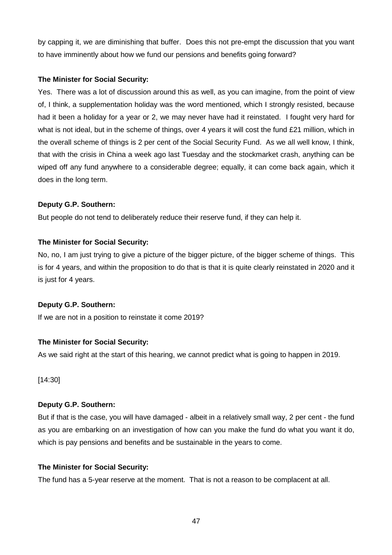by capping it, we are diminishing that buffer. Does this not pre-empt the discussion that you want to have imminently about how we fund our pensions and benefits going forward?

## **The Minister for Social Security:**

Yes. There was a lot of discussion around this as well, as you can imagine, from the point of view of, I think, a supplementation holiday was the word mentioned, which I strongly resisted, because had it been a holiday for a year or 2, we may never have had it reinstated. I fought very hard for what is not ideal, but in the scheme of things, over 4 years it will cost the fund £21 million, which in the overall scheme of things is 2 per cent of the Social Security Fund. As we all well know, I think, that with the crisis in China a week ago last Tuesday and the stockmarket crash, anything can be wiped off any fund anywhere to a considerable degree; equally, it can come back again, which it does in the long term.

## **Deputy G.P. Southern:**

But people do not tend to deliberately reduce their reserve fund, if they can help it.

## **The Minister for Social Security:**

No, no, I am just trying to give a picture of the bigger picture, of the bigger scheme of things. This is for 4 years, and within the proposition to do that is that it is quite clearly reinstated in 2020 and it is just for 4 years.

## **Deputy G.P. Southern:**

If we are not in a position to reinstate it come 2019?

## **The Minister for Social Security:**

As we said right at the start of this hearing, we cannot predict what is going to happen in 2019.

[14:30]

## **Deputy G.P. Southern:**

But if that is the case, you will have damaged - albeit in a relatively small way, 2 per cent - the fund as you are embarking on an investigation of how can you make the fund do what you want it do, which is pay pensions and benefits and be sustainable in the years to come.

## **The Minister for Social Security:**

The fund has a 5-year reserve at the moment. That is not a reason to be complacent at all.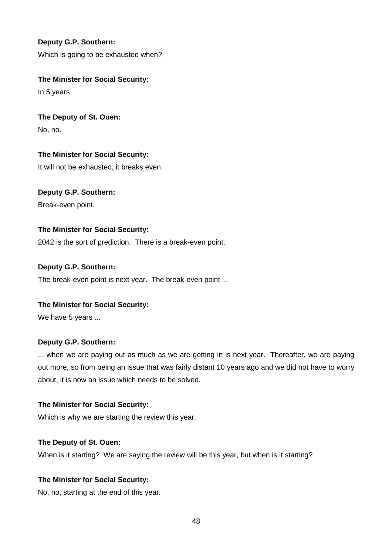Which is going to be exhausted when?

## **The Minister for Social Security:**

In 5 years.

# **The Deputy of St. Ouen:**

No, no.

## **The Minister for Social Security:**

It will not be exhausted, it breaks even.

## **Deputy G.P. Southern:** Break-even point.

## **The Minister for Social Security:**

2042 is the sort of prediction. There is a break-even point.

## **Deputy G.P. Southern:**

The break-even point is next year. The break-even point ...

## **The Minister for Social Security:**

We have 5 years ...

## **Deputy G.P. Southern:**

... when we are paying out as much as we are getting in is next year. Thereafter, we are paying out more, so from being an issue that was fairly distant 10 years ago and we did not have to worry about, it is now an issue which needs to be solved.

## **The Minister for Social Security:**

Which is why we are starting the review this year.

## **The Deputy of St. Ouen:**

When is it starting? We are saying the review will be this year, but when is it starting?

## **The Minister for Social Security:**

No, no, starting at the end of this year.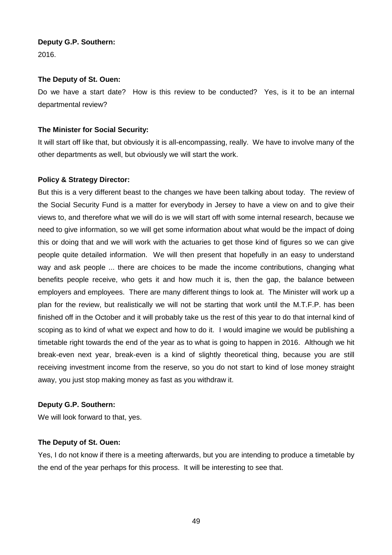2016.

## **The Deputy of St. Ouen:**

Do we have a start date? How is this review to be conducted? Yes, is it to be an internal departmental review?

## **The Minister for Social Security:**

It will start off like that, but obviously it is all-encompassing, really. We have to involve many of the other departments as well, but obviously we will start the work.

## **Policy & Strategy Director:**

But this is a very different beast to the changes we have been talking about today. The review of the Social Security Fund is a matter for everybody in Jersey to have a view on and to give their views to, and therefore what we will do is we will start off with some internal research, because we need to give information, so we will get some information about what would be the impact of doing this or doing that and we will work with the actuaries to get those kind of figures so we can give people quite detailed information. We will then present that hopefully in an easy to understand way and ask people ... there are choices to be made the income contributions, changing what benefits people receive, who gets it and how much it is, then the gap, the balance between employers and employees. There are many different things to look at. The Minister will work up a plan for the review, but realistically we will not be starting that work until the M.T.F.P. has been finished off in the October and it will probably take us the rest of this year to do that internal kind of scoping as to kind of what we expect and how to do it. I would imagine we would be publishing a timetable right towards the end of the year as to what is going to happen in 2016. Although we hit break-even next year, break-even is a kind of slightly theoretical thing, because you are still receiving investment income from the reserve, so you do not start to kind of lose money straight away, you just stop making money as fast as you withdraw it.

## **Deputy G.P. Southern:**

We will look forward to that, yes.

## **The Deputy of St. Ouen:**

Yes, I do not know if there is a meeting afterwards, but you are intending to produce a timetable by the end of the year perhaps for this process. It will be interesting to see that.